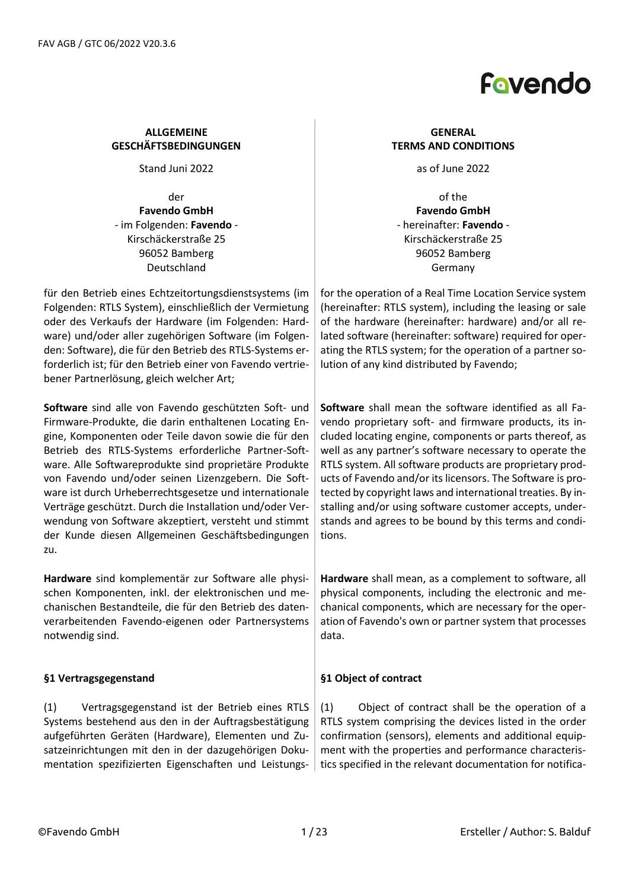

### **ALLGEMEINE GESCHÄFTSBEDINGUNGEN**

Stand Juni 2022 **as of June 2022** 

der **Favendo GmbH** - im Folgenden: **Favendo** - Kirschäckerstraße 25 96052 Bamberg Deutschland

für den Betrieb eines Echtzeitortungsdienstsystems (im Folgenden: RTLS System), einschließlich der Vermietung oder des Verkaufs der Hardware (im Folgenden: Hardware) und/oder aller zugehörigen Software (im Folgenden: Software), die für den Betrieb des RTLS-Systems erforderlich ist; für den Betrieb einer von Favendo vertriebener Partnerlösung, gleich welcher Art;

**Software** sind alle von Favendo geschützten Soft- und Firmware-Produkte, die darin enthaltenen Locating Engine, Komponenten oder Teile davon sowie die für den Betrieb des RTLS-Systems erforderliche Partner-Software. Alle Softwareprodukte sind proprietäre Produkte von Favendo und/oder seinen Lizenzgebern. Die Software ist durch Urheberrechtsgesetze und internationale Verträge geschützt. Durch die Installation und/oder Verwendung von Software akzeptiert, versteht und stimmt der Kunde diesen Allgemeinen Geschäftsbedingungen zu.

**Hardware** sind komplementär zur Software alle physischen Komponenten, inkl. der elektronischen und mechanischen Bestandteile, die für den Betrieb des datenverarbeitenden Favendo-eigenen oder Partnersystems notwendig sind.

### **§1 Vertragsgegenstand**

(1) Vertragsgegenstand ist der Betrieb eines RTLS Systems bestehend aus den in der Auftragsbestätigung aufgeführten Geräten (Hardware), Elementen und Zusatzeinrichtungen mit den in der dazugehörigen Dokumentation spezifizierten Eigenschaften und Leistungs-

### **GENERAL TERMS AND CONDITIONS**

of the **Favendo GmbH** - hereinafter: **Favendo** - Kirschäckerstraße 25 96052 Bamberg Germany

for the operation of a Real Time Location Service system (hereinafter: RTLS system), including the leasing or sale of the hardware (hereinafter: hardware) and/or all related software (hereinafter: software) required for operating the RTLS system; for the operation of a partner solution of any kind distributed by Favendo;

**Software** shall mean the software identified as all Favendo proprietary soft- and firmware products, its included locating engine, components or parts thereof, as well as any partner's software necessary to operate the RTLS system. All software products are proprietary products of Favendo and/or its licensors. The Software is protected by copyright laws and international treaties. By installing and/or using software customer accepts, understands and agrees to be bound by this terms and conditions.

**Hardware** shall mean, as a complement to software, all physical components, including the electronic and mechanical components, which are necessary for the operation of Favendo's own or partner system that processes data.

### **§1 Object of contract**

(1) Object of contract shall be the operation of a RTLS system comprising the devices listed in the order confirmation (sensors), elements and additional equipment with the properties and performance characteristics specified in the relevant documentation for notifica-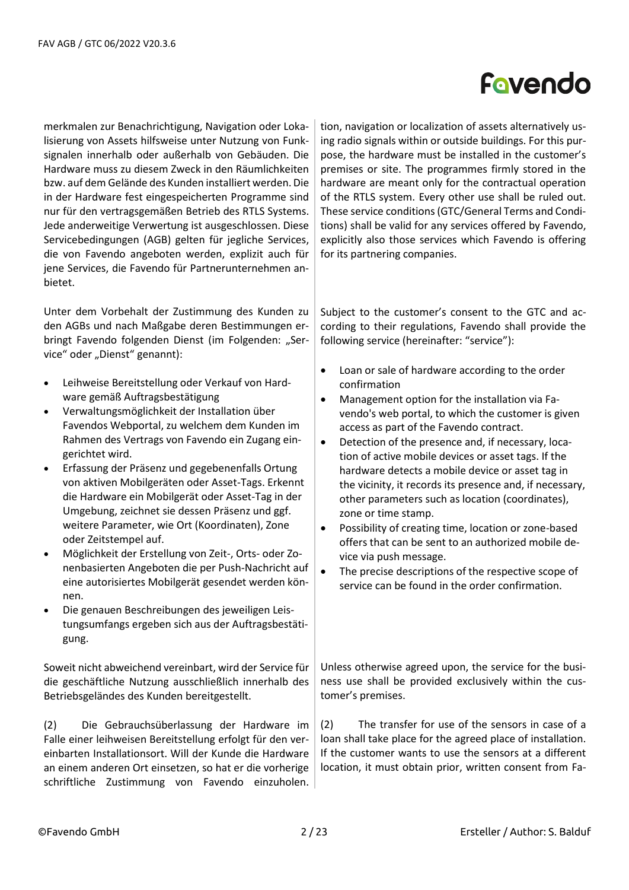merkmalen zur Benachrichtigung, Navigation oder Lokalisierung von Assets hilfsweise unter Nutzung von Funksignalen innerhalb oder außerhalb von Gebäuden. Die Hardware muss zu diesem Zweck in den Räumlichkeiten bzw. auf dem Gelände des Kunden installiert werden. Die in der Hardware fest eingespeicherten Programme sind nur für den vertragsgemäßen Betrieb des RTLS Systems. Jede anderweitige Verwertung ist ausgeschlossen. Diese Servicebedingungen (AGB) gelten für jegliche Services, die von Favendo angeboten werden, explizit auch für jene Services, die Favendo für Partnerunternehmen anbietet.

Unter dem Vorbehalt der Zustimmung des Kunden zu den AGBs und nach Maßgabe deren Bestimmungen erbringt Favendo folgenden Dienst (im Folgenden: "Service" oder "Dienst" genannt):

- Leihweise Bereitstellung oder Verkauf von Hardware gemäß Auftragsbestätigung
- Verwaltungsmöglichkeit der Installation über Favendos Webportal, zu welchem dem Kunden im Rahmen des Vertrags von Favendo ein Zugang eingerichtet wird.
- Erfassung der Präsenz und gegebenenfalls Ortung von aktiven Mobilgeräten oder Asset-Tags. Erkennt die Hardware ein Mobilgerät oder Asset-Tag in der Umgebung, zeichnet sie dessen Präsenz und ggf. weitere Parameter, wie Ort (Koordinaten), Zone oder Zeitstempel auf.
- Möglichkeit der Erstellung von Zeit-, Orts- oder Zonenbasierten Angeboten die per Push-Nachricht auf eine autorisiertes Mobilgerät gesendet werden können.
- Die genauen Beschreibungen des jeweiligen Leistungsumfangs ergeben sich aus der Auftragsbestätigung.

Soweit nicht abweichend vereinbart, wird der Service für die geschäftliche Nutzung ausschließlich innerhalb des Betriebsgeländes des Kunden bereitgestellt.

(2) Die Gebrauchsüberlassung der Hardware im Falle einer leihweisen Bereitstellung erfolgt für den vereinbarten Installationsort. Will der Kunde die Hardware an einem anderen Ort einsetzen, so hat er die vorherige schriftliche Zustimmung von Favendo einzuholen.

tion, navigation or localization of assets alternatively using radio signals within or outside buildings. For this purpose, the hardware must be installed in the customer's premises or site. The programmes firmly stored in the hardware are meant only for the contractual operation of the RTLS system. Every other use shall be ruled out. These service conditions (GTC/General Terms and Conditions) shall be valid for any services offered by Favendo, explicitly also those services which Favendo is offering for its partnering companies.

Subject to the customer's consent to the GTC and according to their regulations, Favendo shall provide the following service (hereinafter: "service"):

- Loan or sale of hardware according to the order confirmation
- Management option for the installation via Favendo's web portal, to which the customer is given access as part of the Favendo contract.
- Detection of the presence and, if necessary, location of active mobile devices or asset tags. If the hardware detects a mobile device or asset tag in the vicinity, it records its presence and, if necessary, other parameters such as location (coordinates), zone or time stamp.
- Possibility of creating time, location or zone-based offers that can be sent to an authorized mobile device via push message.
- The precise descriptions of the respective scope of service can be found in the order confirmation.

Unless otherwise agreed upon, the service for the business use shall be provided exclusively within the customer's premises.

(2) The transfer for use of the sensors in case of a loan shall take place for the agreed place of installation. If the customer wants to use the sensors at a different location, it must obtain prior, written consent from Fa-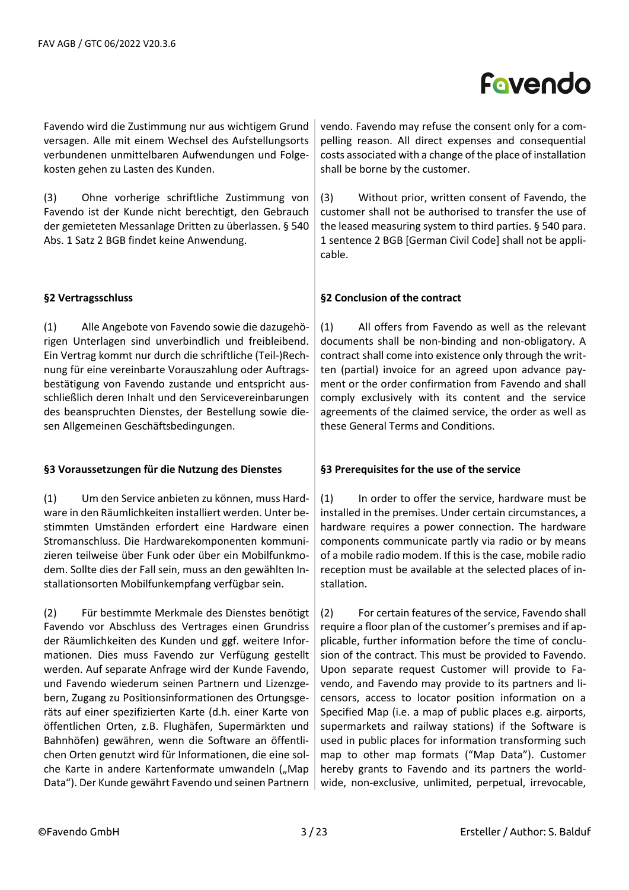Favendo wird die Zustimmung nur aus wichtigem Grund versagen. Alle mit einem Wechsel des Aufstellungsorts verbundenen unmittelbaren Aufwendungen und Folgekosten gehen zu Lasten des Kunden.

(3) Ohne vorherige schriftliche Zustimmung von Favendo ist der Kunde nicht berechtigt, den Gebrauch der gemieteten Messanlage Dritten zu überlassen. § 540 Abs. 1 Satz 2 BGB findet keine Anwendung.

### **§2 Vertragsschluss**

(1) Alle Angebote von Favendo sowie die dazugehörigen Unterlagen sind unverbindlich und freibleibend. Ein Vertrag kommt nur durch die schriftliche (Teil-)Rechnung für eine vereinbarte Vorauszahlung oder Auftragsbestätigung von Favendo zustande und entspricht ausschließlich deren Inhalt und den Servicevereinbarungen des beanspruchten Dienstes, der Bestellung sowie diesen Allgemeinen Geschäftsbedingungen.

#### **§3 Voraussetzungen für die Nutzung des Dienstes**

(1) Um den Service anbieten zu können, muss Hardware in den Räumlichkeiten installiert werden. Unter bestimmten Umständen erfordert eine Hardware einen Stromanschluss. Die Hardwarekomponenten kommunizieren teilweise über Funk oder über ein Mobilfunkmodem. Sollte dies der Fall sein, muss an den gewählten Installationsorten Mobilfunkempfang verfügbar sein.

(2) Für bestimmte Merkmale des Dienstes benötigt Favendo vor Abschluss des Vertrages einen Grundriss der Räumlichkeiten des Kunden und ggf. weitere Informationen. Dies muss Favendo zur Verfügung gestellt werden. Auf separate Anfrage wird der Kunde Favendo, und Favendo wiederum seinen Partnern und Lizenzgebern, Zugang zu Positionsinformationen des Ortungsgeräts auf einer spezifizierten Karte (d.h. einer Karte von öffentlichen Orten, z.B. Flughäfen, Supermärkten und Bahnhöfen) gewähren, wenn die Software an öffentlichen Orten genutzt wird für Informationen, die eine solche Karte in andere Kartenformate umwandeln ("Map Data"). Der Kunde gewährt Favendo und seinen Partnern

vendo. Favendo may refuse the consent only for a compelling reason. All direct expenses and consequential costs associated with a change of the place of installation shall be borne by the customer.

(3) Without prior, written consent of Favendo, the customer shall not be authorised to transfer the use of the leased measuring system to third parties. § 540 para. 1 sentence 2 BGB [German Civil Code] shall not be applicable.

### **§2 Conclusion of the contract**

(1) All offers from Favendo as well as the relevant documents shall be non-binding and non-obligatory. A contract shall come into existence only through the written (partial) invoice for an agreed upon advance payment or the order confirmation from Favendo and shall comply exclusively with its content and the service agreements of the claimed service, the order as well as these General Terms and Conditions.

### **§3 Prerequisites for the use of the service**

(1) In order to offer the service, hardware must be installed in the premises. Under certain circumstances, a hardware requires a power connection. The hardware components communicate partly via radio or by means of a mobile radio modem. If this is the case, mobile radio reception must be available at the selected places of installation.

(2) For certain features of the service, Favendo shall require a floor plan of the customer's premises and if applicable, further information before the time of conclusion of the contract. This must be provided to Favendo. Upon separate request Customer will provide to Favendo, and Favendo may provide to its partners and licensors, access to locator position information on a Specified Map (i.e. a map of public places e.g. airports, supermarkets and railway stations) if the Software is used in public places for information transforming such map to other map formats ("Map Data"). Customer hereby grants to Favendo and its partners the worldwide, non-exclusive, unlimited, perpetual, irrevocable,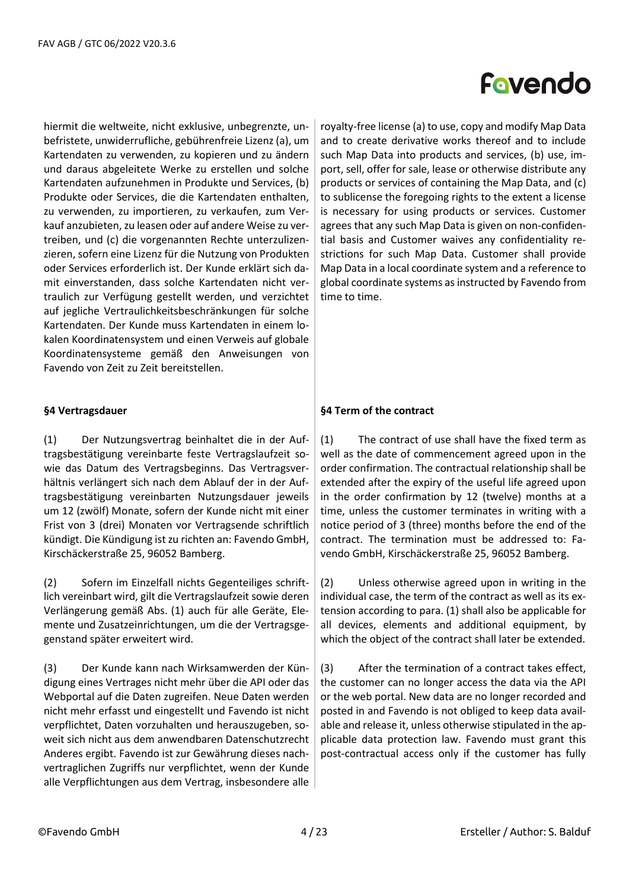hiermit die weltweite, nicht exklusive, unbegrenzte, unbefristete, unwiderrufliche, gebührenfreie Lizenz (a), um Kartendaten zu verwenden, zu kopieren und zu ändern und daraus abgeleitete Werke zu erstellen und solche Kartendaten aufzunehmen in Produkte und Services, (b) Produkte oder Services, die die Kartendaten enthalten, zu verwenden, zu importieren, zu verkaufen, zum Verkauf anzubieten, zu leasen oder auf andere Weise zu vertreiben, und (c) die vorgenannten Rechte unterzulizenzieren, sofern eine Lizenz für die Nutzung von Produkten oder Services erforderlich ist. Der Kunde erklärt sich damit einverstanden, dass solche Kartendaten nicht vertraulich zur Verfügung gestellt werden, und verzichtet auf jegliche Vertraulichkeitsbeschränkungen für solche Kartendaten. Der Kunde muss Kartendaten in einem lokalen Koordinatensystem und einen Verweis auf globale Koordinatensysteme gemäß den Anweisungen von Favendo von Zeit zu Zeit bereitstellen.

### **§4 Vertragsdauer**

(1) Der Nutzungsvertrag beinhaltet die in der Auftragsbestätigung vereinbarte feste Vertragslaufzeit sowie das Datum des Vertragsbeginns. Das Vertragsverhältnis verlängert sich nach dem Ablauf der in der Auftragsbestätigung vereinbarten Nutzungsdauer jeweils um 12 (zwölf) Monate, sofern der Kunde nicht mit einer Frist von 3 (drei) Monaten vor Vertragsende schriftlich kündigt. Die Kündigung ist zu richten an: Favendo GmbH, Kirschäckerstraße 25, 96052 Bamberg.

(2) Sofern im Einzelfall nichts Gegenteiliges schriftlich vereinbart wird, gilt die Vertragslaufzeit sowie deren Verlängerung gemäß Abs. (1) auch für alle Geräte, Elemente und Zusatzeinrichtungen, um die der Vertragsgegenstand später erweitert wird.

(3) Der Kunde kann nach Wirksamwerden der Kündigung eines Vertrages nicht mehr über die API oder das Webportal auf die Daten zugreifen. Neue Daten werden nicht mehr erfasst und eingestellt und Favendo ist nicht verpflichtet, Daten vorzuhalten und herauszugeben, soweit sich nicht aus dem anwendbaren Datenschutzrecht Anderes ergibt. Favendo ist zur Gewährung dieses nachvertraglichen Zugriffs nur verpflichtet, wenn der Kunde alle Verpflichtungen aus dem Vertrag, insbesondere alle

# Fovendo

royalty-free license (a) to use, copy and modify Map Data and to create derivative works thereof and to include such Map Data into products and services, (b) use, import, sell, offer for sale, lease or otherwise distribute any products or services of containing the Map Data, and (c) to sublicense the foregoing rights to the extent a license is necessary for using products or services. Customer agrees that any such Map Data is given on non-confidential basis and Customer waives any confidentiality restrictions for such Map Data. Customer shall provide Map Data in a local coordinate system and a reference to global coordinate systems as instructed by Favendo from time to time.

### **§4 Term of the contract**

(1) The contract of use shall have the fixed term as well as the date of commencement agreed upon in the order confirmation. The contractual relationship shall be extended after the expiry of the useful life agreed upon in the order confirmation by 12 (twelve) months at a time, unless the customer terminates in writing with a notice period of 3 (three) months before the end of the contract. The termination must be addressed to: Favendo GmbH, Kirschäckerstraße 25, 96052 Bamberg.

(2) Unless otherwise agreed upon in writing in the individual case, the term of the contract as well as its extension according to para. (1) shall also be applicable for all devices, elements and additional equipment, by which the object of the contract shall later be extended.

(3) After the termination of a contract takes effect, the customer can no longer access the data via the API or the web portal. New data are no longer recorded and posted in and Favendo is not obliged to keep data available and release it, unless otherwise stipulated in the applicable data protection law. Favendo must grant this post-contractual access only if the customer has fully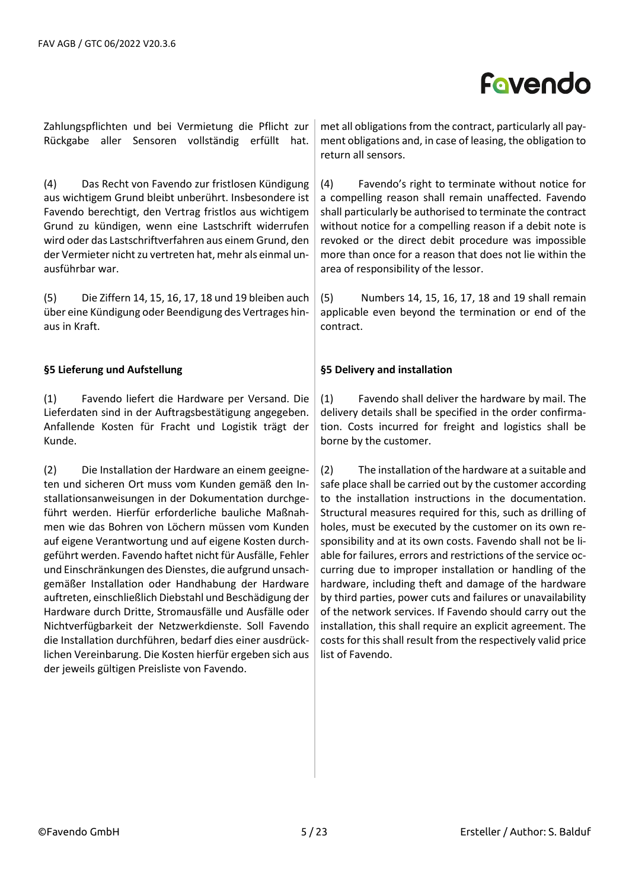Zahlungspflichten und bei Vermietung die Pflicht zur Rückgabe aller Sensoren vollständig erfüllt hat.

(4) Das Recht von Favendo zur fristlosen Kündigung aus wichtigem Grund bleibt unberührt. Insbesondere ist Favendo berechtigt, den Vertrag fristlos aus wichtigem Grund zu kündigen, wenn eine Lastschrift widerrufen wird oder das Lastschriftverfahren aus einem Grund, den der Vermieter nicht zu vertreten hat, mehr als einmal unausführbar war.

(5) Die Ziffern 14, 15, 16, 17, 18 und 19 bleiben auch über eine Kündigung oder Beendigung des Vertrages hinaus in Kraft.

### **§5 Lieferung und Aufstellung**

(1) Favendo liefert die Hardware per Versand. Die Lieferdaten sind in der Auftragsbestätigung angegeben. Anfallende Kosten für Fracht und Logistik trägt der Kunde.

(2) Die Installation der Hardware an einem geeigneten und sicheren Ort muss vom Kunden gemäß den Installationsanweisungen in der Dokumentation durchgeführt werden. Hierfür erforderliche bauliche Maßnahmen wie das Bohren von Löchern müssen vom Kunden auf eigene Verantwortung und auf eigene Kosten durchgeführt werden. Favendo haftet nicht für Ausfälle, Fehler und Einschränkungen des Dienstes, die aufgrund unsachgemäßer Installation oder Handhabung der Hardware auftreten, einschließlich Diebstahl und Beschädigung der Hardware durch Dritte, Stromausfälle und Ausfälle oder Nichtverfügbarkeit der Netzwerkdienste. Soll Favendo die Installation durchführen, bedarf dies einer ausdrücklichen Vereinbarung. Die Kosten hierfür ergeben sich aus der jeweils gültigen Preisliste von Favendo.

met all obligations from the contract, particularly all payment obligations and, in case of leasing, the obligation to return all sensors.

(4) Favendo's right to terminate without notice for a compelling reason shall remain unaffected. Favendo shall particularly be authorised to terminate the contract without notice for a compelling reason if a debit note is revoked or the direct debit procedure was impossible more than once for a reason that does not lie within the area of responsibility of the lessor.

(5) Numbers 14, 15, 16, 17, 18 and 19 shall remain applicable even beyond the termination or end of the contract.

#### **§5 Delivery and installation**

(1) Favendo shall deliver the hardware by mail. The delivery details shall be specified in the order confirmation. Costs incurred for freight and logistics shall be borne by the customer.

(2) The installation of the hardware at a suitable and safe place shall be carried out by the customer according to the installation instructions in the documentation. Structural measures required for this, such as drilling of holes, must be executed by the customer on its own responsibility and at its own costs. Favendo shall not be liable for failures, errors and restrictions of the service occurring due to improper installation or handling of the hardware, including theft and damage of the hardware by third parties, power cuts and failures or unavailability of the network services. If Favendo should carry out the installation, this shall require an explicit agreement. The costs for this shall result from the respectively valid price list of Favendo.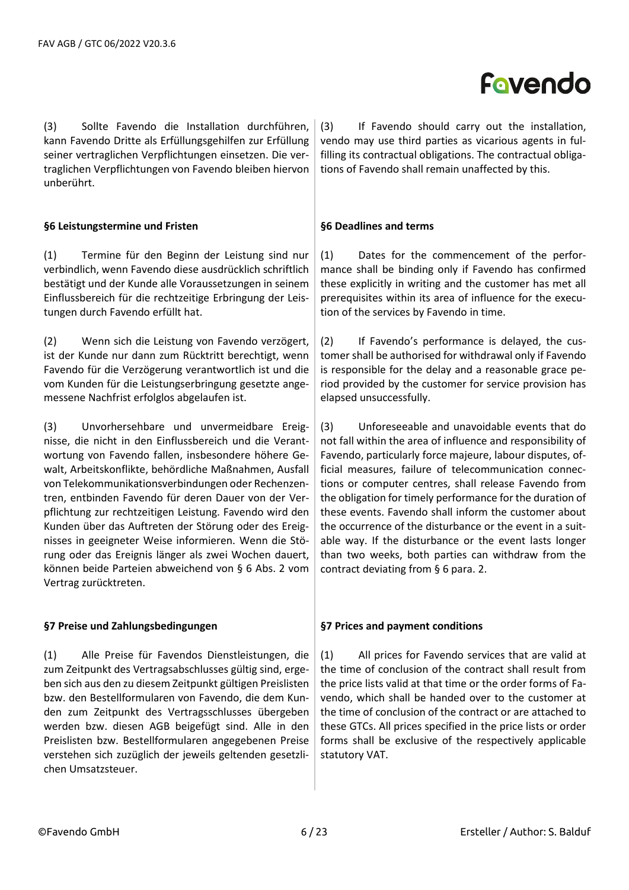(3) Sollte Favendo die Installation durchführen, kann Favendo Dritte als Erfüllungsgehilfen zur Erfüllung seiner vertraglichen Verpflichtungen einsetzen. Die vertraglichen Verpflichtungen von Favendo bleiben hiervon unberührt.

### **§6 Leistungstermine und Fristen**

(1) Termine für den Beginn der Leistung sind nur verbindlich, wenn Favendo diese ausdrücklich schriftlich bestätigt und der Kunde alle Voraussetzungen in seinem Einflussbereich für die rechtzeitige Erbringung der Leistungen durch Favendo erfüllt hat.

(2) Wenn sich die Leistung von Favendo verzögert, ist der Kunde nur dann zum Rücktritt berechtigt, wenn Favendo für die Verzögerung verantwortlich ist und die vom Kunden für die Leistungserbringung gesetzte angemessene Nachfrist erfolglos abgelaufen ist.

(3) Unvorhersehbare und unvermeidbare Ereignisse, die nicht in den Einflussbereich und die Verantwortung von Favendo fallen, insbesondere höhere Gewalt, Arbeitskonflikte, behördliche Maßnahmen, Ausfall von Telekommunikationsverbindungen oder Rechenzentren, entbinden Favendo für deren Dauer von der Verpflichtung zur rechtzeitigen Leistung. Favendo wird den Kunden über das Auftreten der Störung oder des Ereignisses in geeigneter Weise informieren. Wenn die Störung oder das Ereignis länger als zwei Wochen dauert, können beide Parteien abweichend von § 6 Abs. 2 vom Vertrag zurücktreten.

### **§7 Preise und Zahlungsbedingungen**

(1) Alle Preise für Favendos Dienstleistungen, die zum Zeitpunkt des Vertragsabschlusses gültig sind, ergeben sich aus den zu diesem Zeitpunkt gültigen Preislisten bzw. den Bestellformularen von Favendo, die dem Kunden zum Zeitpunkt des Vertragsschlusses übergeben werden bzw. diesen AGB beigefügt sind. Alle in den Preislisten bzw. Bestellformularen angegebenen Preise verstehen sich zuzüglich der jeweils geltenden gesetzlichen Umsatzsteuer.

(3) If Favendo should carry out the installation, vendo may use third parties as vicarious agents in fulfilling its contractual obligations. The contractual obligations of Favendo shall remain unaffected by this.

### **§6 Deadlines and terms**

(1) Dates for the commencement of the performance shall be binding only if Favendo has confirmed these explicitly in writing and the customer has met all prerequisites within its area of influence for the execution of the services by Favendo in time.

(2) If Favendo's performance is delayed, the customer shall be authorised for withdrawal only if Favendo is responsible for the delay and a reasonable grace period provided by the customer for service provision has elapsed unsuccessfully.

(3) Unforeseeable and unavoidable events that do not fall within the area of influence and responsibility of Favendo, particularly force majeure, labour disputes, official measures, failure of telecommunication connections or computer centres, shall release Favendo from the obligation for timely performance for the duration of these events. Favendo shall inform the customer about the occurrence of the disturbance or the event in a suitable way. If the disturbance or the event lasts longer than two weeks, both parties can withdraw from the contract deviating from § 6 para. 2.

### **§7 Prices and payment conditions**

(1) All prices for Favendo services that are valid at the time of conclusion of the contract shall result from the price lists valid at that time or the order forms of Favendo, which shall be handed over to the customer at the time of conclusion of the contract or are attached to these GTCs. All prices specified in the price lists or order forms shall be exclusive of the respectively applicable statutory VAT.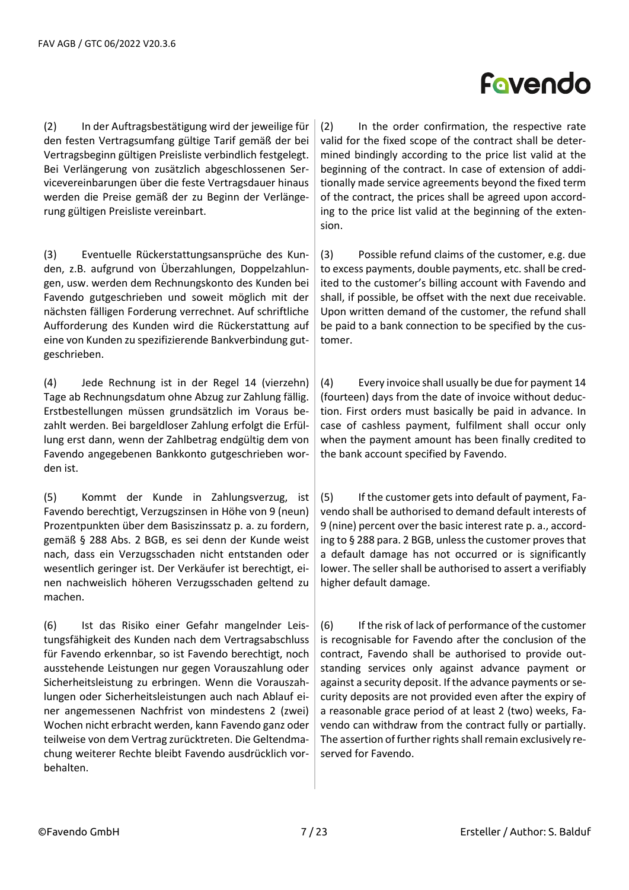(2) In der Auftragsbestätigung wird der jeweilige für den festen Vertragsumfang gültige Tarif gemäß der bei Vertragsbeginn gültigen Preisliste verbindlich festgelegt. Bei Verlängerung von zusätzlich abgeschlossenen Servicevereinbarungen über die feste Vertragsdauer hinaus werden die Preise gemäß der zu Beginn der Verlängerung gültigen Preisliste vereinbart.

(3) Eventuelle Rückerstattungsansprüche des Kunden, z.B. aufgrund von Überzahlungen, Doppelzahlungen, usw. werden dem Rechnungskonto des Kunden bei Favendo gutgeschrieben und soweit möglich mit der nächsten fälligen Forderung verrechnet. Auf schriftliche Aufforderung des Kunden wird die Rückerstattung auf eine von Kunden zu spezifizierende Bankverbindung gutgeschrieben.

(4) Jede Rechnung ist in der Regel 14 (vierzehn) Tage ab Rechnungsdatum ohne Abzug zur Zahlung fällig. Erstbestellungen müssen grundsätzlich im Voraus bezahlt werden. Bei bargeldloser Zahlung erfolgt die Erfüllung erst dann, wenn der Zahlbetrag endgültig dem von Favendo angegebenen Bankkonto gutgeschrieben worden ist.

(5) Kommt der Kunde in Zahlungsverzug, ist Favendo berechtigt, Verzugszinsen in Höhe von 9 (neun) Prozentpunkten über dem Basiszinssatz p. a. zu fordern, gemäß § 288 Abs. 2 BGB, es sei denn der Kunde weist nach, dass ein Verzugsschaden nicht entstanden oder wesentlich geringer ist. Der Verkäufer ist berechtigt, einen nachweislich höheren Verzugsschaden geltend zu machen.

(6) Ist das Risiko einer Gefahr mangelnder Leistungsfähigkeit des Kunden nach dem Vertragsabschluss für Favendo erkennbar, so ist Favendo berechtigt, noch ausstehende Leistungen nur gegen Vorauszahlung oder Sicherheitsleistung zu erbringen. Wenn die Vorauszahlungen oder Sicherheitsleistungen auch nach Ablauf einer angemessenen Nachfrist von mindestens 2 (zwei) Wochen nicht erbracht werden, kann Favendo ganz oder teilweise von dem Vertrag zurücktreten. Die Geltendmachung weiterer Rechte bleibt Favendo ausdrücklich vorbehalten.

### (2) In the order confirmation, the respective rate valid for the fixed scope of the contract shall be determined bindingly according to the price list valid at the beginning of the contract. In case of extension of additionally made service agreements beyond the fixed term of the contract, the prices shall be agreed upon according to the price list valid at the beginning of the exten-

Fovendo

(3) Possible refund claims of the customer, e.g. due to excess payments, double payments, etc. shall be credited to the customer's billing account with Favendo and shall, if possible, be offset with the next due receivable. Upon written demand of the customer, the refund shall be paid to a bank connection to be specified by the customer.

(4) Every invoice shall usually be due for payment 14 (fourteen) days from the date of invoice without deduction. First orders must basically be paid in advance. In case of cashless payment, fulfilment shall occur only when the payment amount has been finally credited to the bank account specified by Favendo.

(5) If the customer gets into default of payment, Favendo shall be authorised to demand default interests of 9 (nine) percent over the basic interest rate p. a., according to § 288 para. 2 BGB, unless the customer proves that a default damage has not occurred or is significantly lower. The seller shall be authorised to assert a verifiably higher default damage.

(6) If the risk of lack of performance of the customer is recognisable for Favendo after the conclusion of the contract, Favendo shall be authorised to provide outstanding services only against advance payment or against a security deposit. If the advance payments or security deposits are not provided even after the expiry of a reasonable grace period of at least 2 (two) weeks, Favendo can withdraw from the contract fully or partially. The assertion of further rights shall remain exclusively reserved for Favendo.

sion.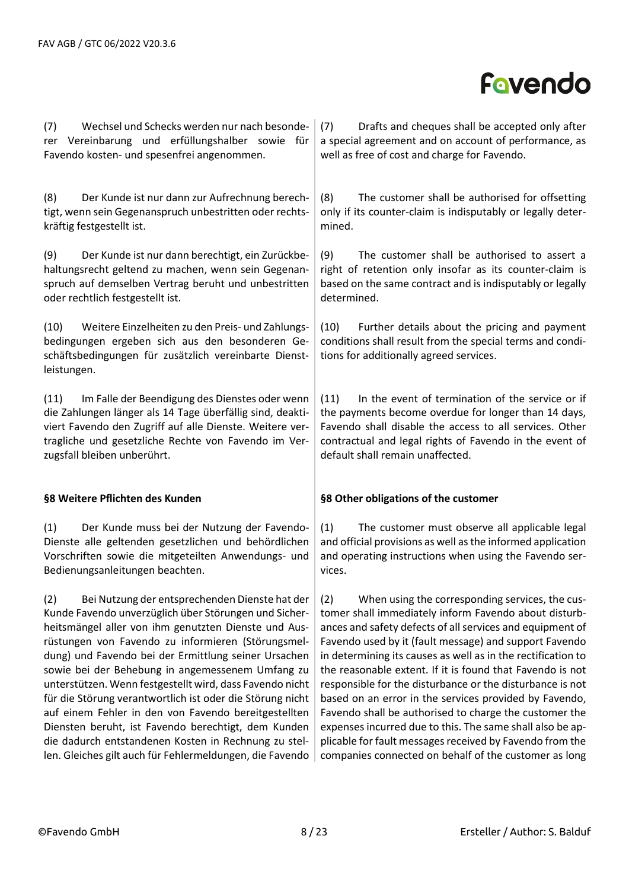(7) Wechsel und Schecks werden nur nach besonderer Vereinbarung und erfüllungshalber sowie für Favendo kosten- und spesenfrei angenommen.

(8) Der Kunde ist nur dann zur Aufrechnung berechtigt, wenn sein Gegenanspruch unbestritten oder rechtskräftig festgestellt ist.

(9) Der Kunde ist nur dann berechtigt, ein Zurückbehaltungsrecht geltend zu machen, wenn sein Gegenanspruch auf demselben Vertrag beruht und unbestritten oder rechtlich festgestellt ist.

(10) Weitere Einzelheiten zu den Preis- und Zahlungsbedingungen ergeben sich aus den besonderen Geschäftsbedingungen für zusätzlich vereinbarte Dienstleistungen.

(11) Im Falle der Beendigung des Dienstes oder wenn die Zahlungen länger als 14 Tage überfällig sind, deaktiviert Favendo den Zugriff auf alle Dienste. Weitere vertragliche und gesetzliche Rechte von Favendo im Verzugsfall bleiben unberührt.

### **§8 Weitere Pflichten des Kunden**

(1) Der Kunde muss bei der Nutzung der Favendo-Dienste alle geltenden gesetzlichen und behördlichen Vorschriften sowie die mitgeteilten Anwendungs- und Bedienungsanleitungen beachten.

(2) Bei Nutzung der entsprechenden Dienste hat der Kunde Favendo unverzüglich über Störungen und Sicherheitsmängel aller von ihm genutzten Dienste und Ausrüstungen von Favendo zu informieren (Störungsmeldung) und Favendo bei der Ermittlung seiner Ursachen sowie bei der Behebung in angemessenem Umfang zu unterstützen. Wenn festgestellt wird, dass Favendo nicht für die Störung verantwortlich ist oder die Störung nicht auf einem Fehler in den von Favendo bereitgestellten Diensten beruht, ist Favendo berechtigt, dem Kunden die dadurch entstandenen Kosten in Rechnung zu stellen. Gleiches gilt auch für Fehlermeldungen, die Favendo

(7) Drafts and cheques shall be accepted only after a special agreement and on account of performance, as well as free of cost and charge for Favendo.

(8) The customer shall be authorised for offsetting only if its counter-claim is indisputably or legally determined.

(9) The customer shall be authorised to assert a right of retention only insofar as its counter-claim is based on the same contract and is indisputably or legally determined.

(10) Further details about the pricing and payment conditions shall result from the special terms and conditions for additionally agreed services.

(11) In the event of termination of the service or if the payments become overdue for longer than 14 days, Favendo shall disable the access to all services. Other contractual and legal rights of Favendo in the event of default shall remain unaffected.

### **§8 Other obligations of the customer**

(1) The customer must observe all applicable legal and official provisions as well as the informed application and operating instructions when using the Favendo services.

(2) When using the corresponding services, the customer shall immediately inform Favendo about disturbances and safety defects of all services and equipment of Favendo used by it (fault message) and support Favendo in determining its causes as well as in the rectification to the reasonable extent. If it is found that Favendo is not responsible for the disturbance or the disturbance is not based on an error in the services provided by Favendo, Favendo shall be authorised to charge the customer the expenses incurred due to this. The same shall also be applicable for fault messages received by Favendo from the companies connected on behalf of the customer as long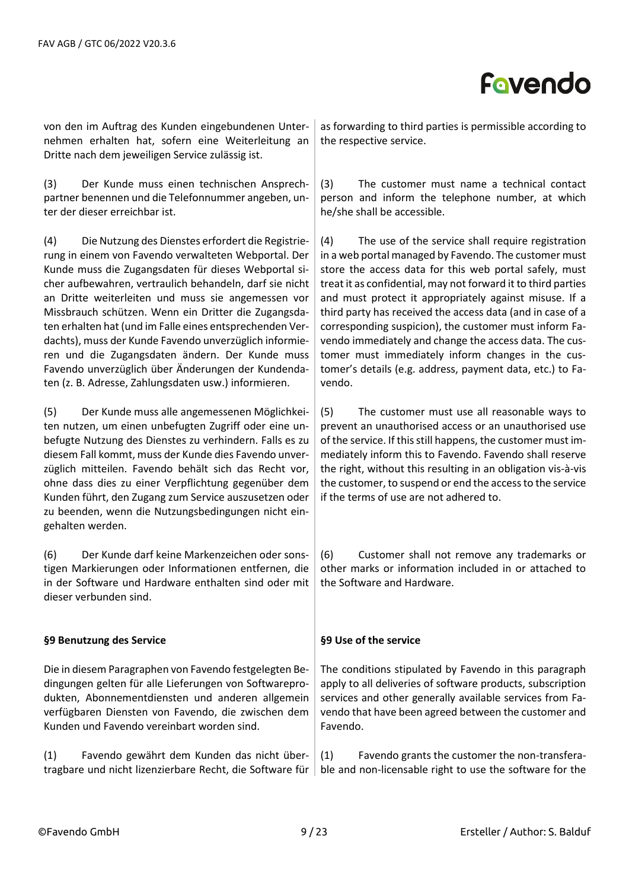

von den im Auftrag des Kunden eingebundenen Unternehmen erhalten hat, sofern eine Weiterleitung an Dritte nach dem jeweiligen Service zulässig ist.

(3) Der Kunde muss einen technischen Ansprechpartner benennen und die Telefonnummer angeben, unter der dieser erreichbar ist.

(4) Die Nutzung des Dienstes erfordert die Registrierung in einem von Favendo verwalteten Webportal. Der Kunde muss die Zugangsdaten für dieses Webportal sicher aufbewahren, vertraulich behandeln, darf sie nicht an Dritte weiterleiten und muss sie angemessen vor Missbrauch schützen. Wenn ein Dritter die Zugangsdaten erhalten hat (und im Falle eines entsprechenden Verdachts), muss der Kunde Favendo unverzüglich informieren und die Zugangsdaten ändern. Der Kunde muss Favendo unverzüglich über Änderungen der Kundendaten (z. B. Adresse, Zahlungsdaten usw.) informieren.

(5) Der Kunde muss alle angemessenen Möglichkeiten nutzen, um einen unbefugten Zugriff oder eine unbefugte Nutzung des Dienstes zu verhindern. Falls es zu diesem Fall kommt, muss der Kunde dies Favendo unverzüglich mitteilen. Favendo behält sich das Recht vor, ohne dass dies zu einer Verpflichtung gegenüber dem Kunden führt, den Zugang zum Service auszusetzen oder zu beenden, wenn die Nutzungsbedingungen nicht eingehalten werden.

(6) Der Kunde darf keine Markenzeichen oder sonstigen Markierungen oder Informationen entfernen, die in der Software und Hardware enthalten sind oder mit dieser verbunden sind.

### **§9 Benutzung des Service**

Die in diesem Paragraphen von Favendo festgelegten Bedingungen gelten für alle Lieferungen von Softwareprodukten, Abonnementdiensten und anderen allgemein verfügbaren Diensten von Favendo, die zwischen dem Kunden und Favendo vereinbart worden sind.

(1) Favendo gewährt dem Kunden das nicht übertragbare und nicht lizenzierbare Recht, die Software für

as forwarding to third parties is permissible according to the respective service.

(3) The customer must name a technical contact person and inform the telephone number, at which he/she shall be accessible.

(4) The use of the service shall require registration in a web portal managed by Favendo. The customer must store the access data for this web portal safely, must treat it as confidential, may not forward it to third parties and must protect it appropriately against misuse. If a third party has received the access data (and in case of a corresponding suspicion), the customer must inform Favendo immediately and change the access data. The customer must immediately inform changes in the customer's details (e.g. address, payment data, etc.) to Favendo.

(5) The customer must use all reasonable ways to prevent an unauthorised access or an unauthorised use of the service. If this still happens, the customer must immediately inform this to Favendo. Favendo shall reserve the right, without this resulting in an obligation vis-à-vis the customer, to suspend or end the access to the service if the terms of use are not adhered to.

(6) Customer shall not remove any trademarks or other marks or information included in or attached to the Software and Hardware.

### **§9 Use of the service**

The conditions stipulated by Favendo in this paragraph apply to all deliveries of software products, subscription services and other generally available services from Favendo that have been agreed between the customer and Favendo.

(1) Favendo grants the customer the non-transferable and non-licensable right to use the software for the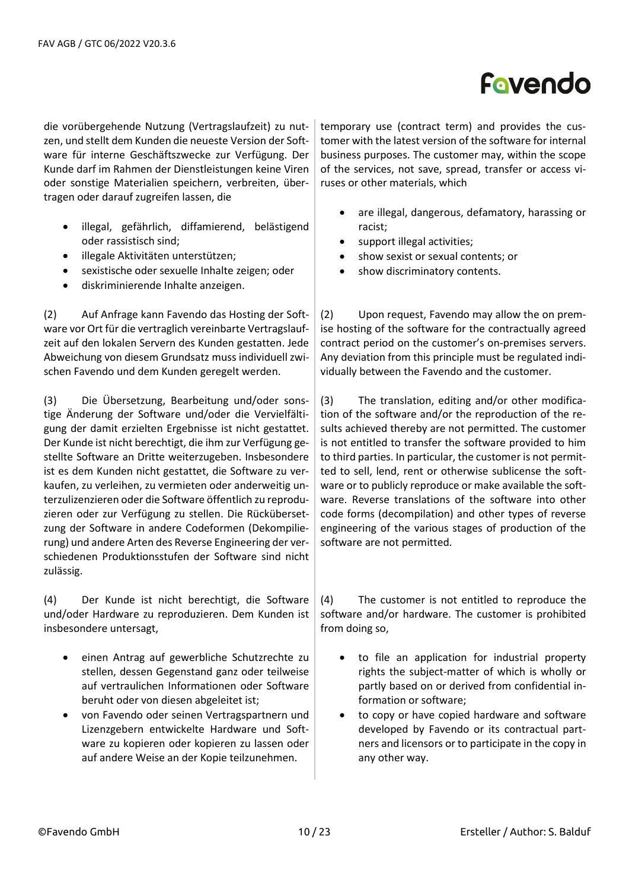die vorübergehende Nutzung (Vertragslaufzeit) zu nutzen, und stellt dem Kunden die neueste Version der Software für interne Geschäftszwecke zur Verfügung. Der Kunde darf im Rahmen der Dienstleistungen keine Viren oder sonstige Materialien speichern, verbreiten, übertragen oder darauf zugreifen lassen, die

- illegal, gefährlich, diffamierend, belästigend oder rassistisch sind;
- illegale Aktivitäten unterstützen;
- sexistische oder sexuelle Inhalte zeigen; oder
- diskriminierende Inhalte anzeigen.

(2) Auf Anfrage kann Favendo das Hosting der Software vor Ort für die vertraglich vereinbarte Vertragslaufzeit auf den lokalen Servern des Kunden gestatten. Jede Abweichung von diesem Grundsatz muss individuell zwischen Favendo und dem Kunden geregelt werden.

(3) Die Übersetzung, Bearbeitung und/oder sonstige Änderung der Software und/oder die Vervielfältigung der damit erzielten Ergebnisse ist nicht gestattet. Der Kunde ist nicht berechtigt, die ihm zur Verfügung gestellte Software an Dritte weiterzugeben. Insbesondere ist es dem Kunden nicht gestattet, die Software zu verkaufen, zu verleihen, zu vermieten oder anderweitig unterzulizenzieren oder die Software öffentlich zu reproduzieren oder zur Verfügung zu stellen. Die Rückübersetzung der Software in andere Codeformen (Dekompilierung) und andere Arten des Reverse Engineering der verschiedenen Produktionsstufen der Software sind nicht zulässig.

(4) Der Kunde ist nicht berechtigt, die Software und/oder Hardware zu reproduzieren. Dem Kunden ist insbesondere untersagt,

- einen Antrag auf gewerbliche Schutzrechte zu stellen, dessen Gegenstand ganz oder teilweise auf vertraulichen Informationen oder Software beruht oder von diesen abgeleitet ist;
- von Favendo oder seinen Vertragspartnern und Lizenzgebern entwickelte Hardware und Software zu kopieren oder kopieren zu lassen oder auf andere Weise an der Kopie teilzunehmen.

temporary use (contract term) and provides the customer with the latest version of the software for internal business purposes. The customer may, within the scope of the services, not save, spread, transfer or access viruses or other materials, which

- are illegal, dangerous, defamatory, harassing or racist;
- support illegal activities;
- show sexist or sexual contents; or
- show discriminatory contents.

(2) Upon request, Favendo may allow the on premise hosting of the software for the contractually agreed contract period on the customer's on-premises servers. Any deviation from this principle must be regulated individually between the Favendo and the customer.

(3) The translation, editing and/or other modification of the software and/or the reproduction of the results achieved thereby are not permitted. The customer is not entitled to transfer the software provided to him to third parties. In particular, the customer is not permitted to sell, lend, rent or otherwise sublicense the software or to publicly reproduce or make available the software. Reverse translations of the software into other code forms (decompilation) and other types of reverse engineering of the various stages of production of the software are not permitted.

(4) The customer is not entitled to reproduce the software and/or hardware. The customer is prohibited from doing so,

- to file an application for industrial property rights the subject-matter of which is wholly or partly based on or derived from confidential information or software;
- to copy or have copied hardware and software developed by Favendo or its contractual partners and licensors or to participate in the copy in any other way.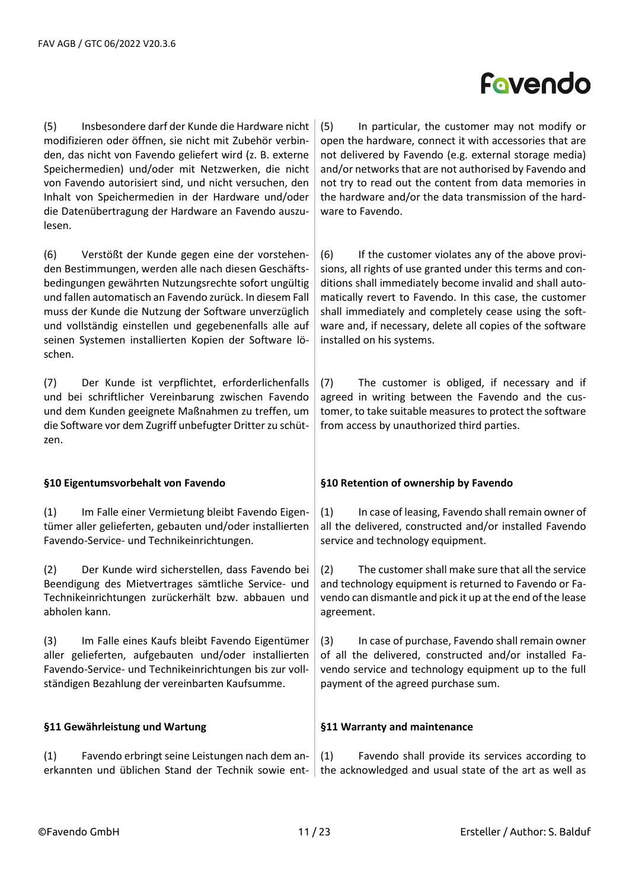(5) Insbesondere darf der Kunde die Hardware nicht modifizieren oder öffnen, sie nicht mit Zubehör verbinden, das nicht von Favendo geliefert wird (z. B. externe Speichermedien) und/oder mit Netzwerken, die nicht von Favendo autorisiert sind, und nicht versuchen, den Inhalt von Speichermedien in der Hardware und/oder die Datenübertragung der Hardware an Favendo auszulesen.

(6) Verstößt der Kunde gegen eine der vorstehenden Bestimmungen, werden alle nach diesen Geschäftsbedingungen gewährten Nutzungsrechte sofort ungültig und fallen automatisch an Favendo zurück. In diesem Fall muss der Kunde die Nutzung der Software unverzüglich und vollständig einstellen und gegebenenfalls alle auf seinen Systemen installierten Kopien der Software löschen.

(7) Der Kunde ist verpflichtet, erforderlichenfalls und bei schriftlicher Vereinbarung zwischen Favendo und dem Kunden geeignete Maßnahmen zu treffen, um die Software vor dem Zugriff unbefugter Dritter zu schützen.

### **§10 Eigentumsvorbehalt von Favendo**

(1) Im Falle einer Vermietung bleibt Favendo Eigentümer aller gelieferten, gebauten und/oder installierten Favendo-Service- und Technikeinrichtungen.

(2) Der Kunde wird sicherstellen, dass Favendo bei Beendigung des Mietvertrages sämtliche Service- und Technikeinrichtungen zurückerhält bzw. abbauen und abholen kann.

(3) Im Falle eines Kaufs bleibt Favendo Eigentümer aller gelieferten, aufgebauten und/oder installierten Favendo-Service- und Technikeinrichtungen bis zur vollständigen Bezahlung der vereinbarten Kaufsumme.

### **§11 Gewährleistung und Wartung**

(1) Favendo erbringt seine Leistungen nach dem anerkannten und üblichen Stand der Technik sowie ent-

(5) In particular, the customer may not modify or open the hardware, connect it with accessories that are not delivered by Favendo (e.g. external storage media) and/or networks that are not authorised by Favendo and not try to read out the content from data memories in the hardware and/or the data transmission of the hardware to Favendo.

(6) If the customer violates any of the above provisions, all rights of use granted under this terms and conditions shall immediately become invalid and shall automatically revert to Favendo. In this case, the customer shall immediately and completely cease using the software and, if necessary, delete all copies of the software installed on his systems.

(7) The customer is obliged, if necessary and if agreed in writing between the Favendo and the customer, to take suitable measures to protect the software from access by unauthorized third parties.

### **§10 Retention of ownership by Favendo**

(1) In case of leasing, Favendo shall remain owner of all the delivered, constructed and/or installed Favendo service and technology equipment.

(2) The customer shall make sure that all the service and technology equipment is returned to Favendo or Favendo can dismantle and pick it up at the end of the lease agreement.

(3) In case of purchase, Favendo shall remain owner of all the delivered, constructed and/or installed Favendo service and technology equipment up to the full payment of the agreed purchase sum.

### **§11 Warranty and maintenance**

(1) Favendo shall provide its services according to the acknowledged and usual state of the art as well as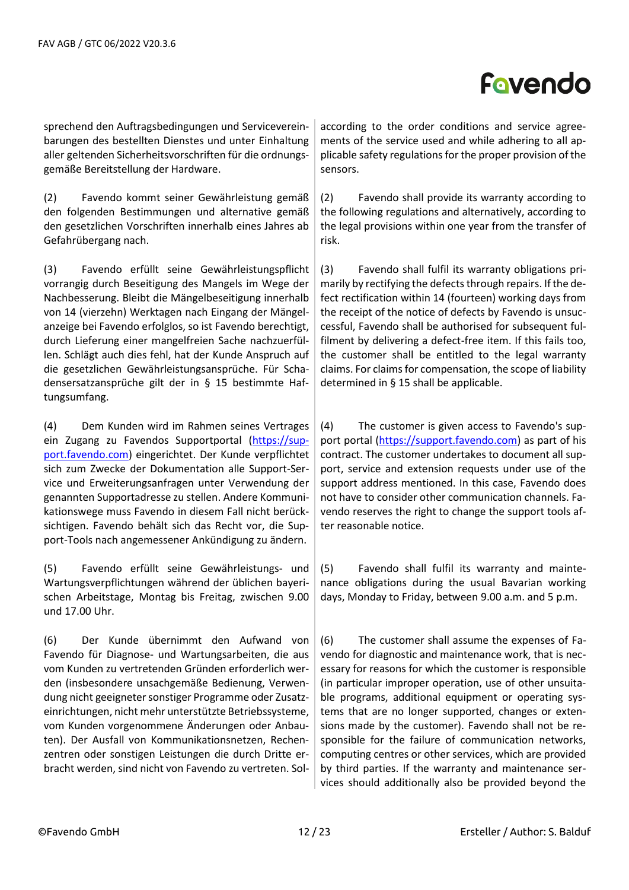sprechend den Auftragsbedingungen und Servicevereinbarungen des bestellten Dienstes und unter Einhaltung aller geltenden Sicherheitsvorschriften für die ordnungsgemäße Bereitstellung der Hardware.

(2) Favendo kommt seiner Gewährleistung gemäß den folgenden Bestimmungen und alternative gemäß den gesetzlichen Vorschriften innerhalb eines Jahres ab Gefahrübergang nach.

(3) Favendo erfüllt seine Gewährleistungspflicht vorrangig durch Beseitigung des Mangels im Wege der Nachbesserung. Bleibt die Mängelbeseitigung innerhalb von 14 (vierzehn) Werktagen nach Eingang der Mängelanzeige bei Favendo erfolglos, so ist Favendo berechtigt, durch Lieferung einer mangelfreien Sache nachzuerfüllen. Schlägt auch dies fehl, hat der Kunde Anspruch auf die gesetzlichen Gewährleistungsansprüche. Für Schadensersatzansprüche gilt der in § 15 bestimmte Haftungsumfang.

(4) Dem Kunden wird im Rahmen seines Vertrages ein Zugang zu Favendos Supportportal [\(https://sup](https://support.favendo.com/)[port.favendo.com\)](https://support.favendo.com/) eingerichtet. Der Kunde verpflichtet sich zum Zwecke der Dokumentation alle Support-Service und Erweiterungsanfragen unter Verwendung der genannten Supportadresse zu stellen. Andere Kommunikationswege muss Favendo in diesem Fall nicht berücksichtigen. Favendo behält sich das Recht vor, die Support-Tools nach angemessener Ankündigung zu ändern.

(5) Favendo erfüllt seine Gewährleistungs- und Wartungsverpflichtungen während der üblichen bayerischen Arbeitstage, Montag bis Freitag, zwischen 9.00 und 17.00 Uhr.

(6) Der Kunde übernimmt den Aufwand von Favendo für Diagnose- und Wartungsarbeiten, die aus vom Kunden zu vertretenden Gründen erforderlich werden (insbesondere unsachgemäße Bedienung, Verwendung nicht geeigneter sonstiger Programme oder Zusatzeinrichtungen, nicht mehr unterstützte Betriebssysteme, vom Kunden vorgenommene Änderungen oder Anbauten). Der Ausfall von Kommunikationsnetzen, Rechenzentren oder sonstigen Leistungen die durch Dritte erbracht werden, sind nicht von Favendo zu vertreten. Solaccording to the order conditions and service agreements of the service used and while adhering to all applicable safety regulations for the proper provision of the sensors.

(2) Favendo shall provide its warranty according to the following regulations and alternatively, according to the legal provisions within one year from the transfer of risk.

(3) Favendo shall fulfil its warranty obligations primarily by rectifying the defects through repairs. If the defect rectification within 14 (fourteen) working days from the receipt of the notice of defects by Favendo is unsuccessful, Favendo shall be authorised for subsequent fulfilment by delivering a defect-free item. If this fails too, the customer shall be entitled to the legal warranty claims. For claims for compensation, the scope of liability determined in § 15 shall be applicable.

(4) The customer is given access to Favendo's sup-port portal [\(https://support.favendo.com\)](https://support.favendo.com/) as part of his contract. The customer undertakes to document all support, service and extension requests under use of the support address mentioned. In this case, Favendo does not have to consider other communication channels. Favendo reserves the right to change the support tools after reasonable notice.

(5) Favendo shall fulfil its warranty and maintenance obligations during the usual Bavarian working days, Monday to Friday, between 9.00 a.m. and 5 p.m.

(6) The customer shall assume the expenses of Favendo for diagnostic and maintenance work, that is necessary for reasons for which the customer is responsible (in particular improper operation, use of other unsuitable programs, additional equipment or operating systems that are no longer supported, changes or extensions made by the customer). Favendo shall not be responsible for the failure of communication networks, computing centres or other services, which are provided by third parties. If the warranty and maintenance services should additionally also be provided beyond the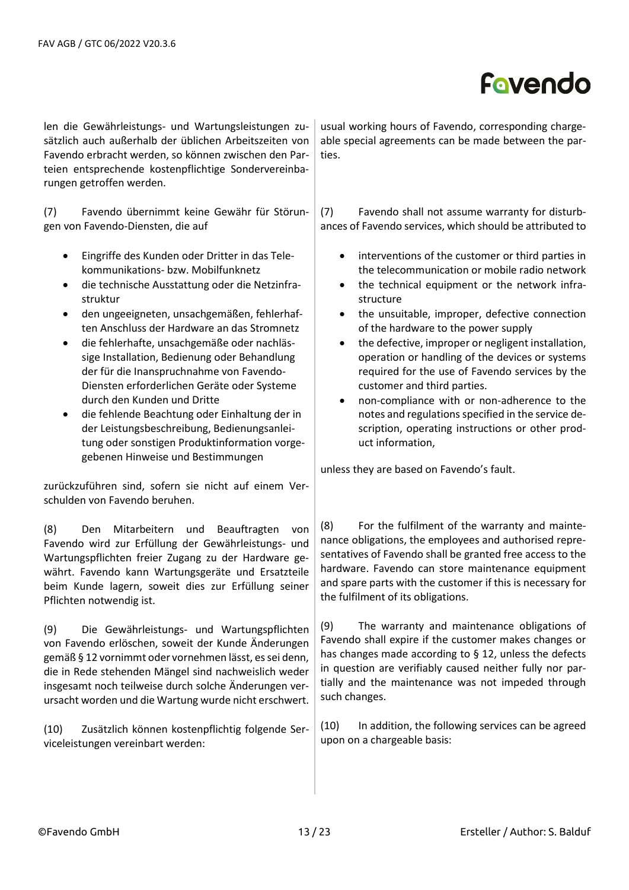len die Gewährleistungs- und Wartungsleistungen zusätzlich auch außerhalb der üblichen Arbeitszeiten von Favendo erbracht werden, so können zwischen den Parteien entsprechende kostenpflichtige Sondervereinbarungen getroffen werden.

(7) Favendo übernimmt keine Gewähr für Störungen von Favendo-Diensten, die auf

- Eingriffe des Kunden oder Dritter in das Telekommunikations- bzw. Mobilfunknetz
- die technische Ausstattung oder die Netzinfrastruktur
- den ungeeigneten, unsachgemäßen, fehlerhaften Anschluss der Hardware an das Stromnetz
- die fehlerhafte, unsachgemäße oder nachlässige Installation, Bedienung oder Behandlung der für die Inanspruchnahme von Favendo-Diensten erforderlichen Geräte oder Systeme durch den Kunden und Dritte
- die fehlende Beachtung oder Einhaltung der in der Leistungsbeschreibung, Bedienungsanleitung oder sonstigen Produktinformation vorgegebenen Hinweise und Bestimmungen

zurückzuführen sind, sofern sie nicht auf einem Verschulden von Favendo beruhen.

(8) Den Mitarbeitern und Beauftragten von Favendo wird zur Erfüllung der Gewährleistungs- und Wartungspflichten freier Zugang zu der Hardware gewährt. Favendo kann Wartungsgeräte und Ersatzteile beim Kunde lagern, soweit dies zur Erfüllung seiner Pflichten notwendig ist.

(9) Die Gewährleistungs- und Wartungspflichten von Favendo erlöschen, soweit der Kunde Änderungen gemäß § 12 vornimmt oder vornehmen lässt, es sei denn, die in Rede stehenden Mängel sind nachweislich weder insgesamt noch teilweise durch solche Änderungen verursacht worden und die Wartung wurde nicht erschwert.

(10) Zusätzlich können kostenpflichtig folgende Serviceleistungen vereinbart werden:

usual working hours of Favendo, corresponding chargeable special agreements can be made between the parties.

(7) Favendo shall not assume warranty for disturbances of Favendo services, which should be attributed to

- interventions of the customer or third parties in the telecommunication or mobile radio network
- the technical equipment or the network infrastructure
- the unsuitable, improper, defective connection of the hardware to the power supply
- the defective, improper or negligent installation, operation or handling of the devices or systems required for the use of Favendo services by the customer and third parties.
- non-compliance with or non-adherence to the notes and regulations specified in the service description, operating instructions or other product information,

unless they are based on Favendo's fault.

(8) For the fulfilment of the warranty and maintenance obligations, the employees and authorised representatives of Favendo shall be granted free access to the hardware. Favendo can store maintenance equipment and spare parts with the customer if this is necessary for the fulfilment of its obligations.

(9) The warranty and maintenance obligations of Favendo shall expire if the customer makes changes or has changes made according to § 12, unless the defects in question are verifiably caused neither fully nor partially and the maintenance was not impeded through such changes.

(10) In addition, the following services can be agreed upon on a chargeable basis: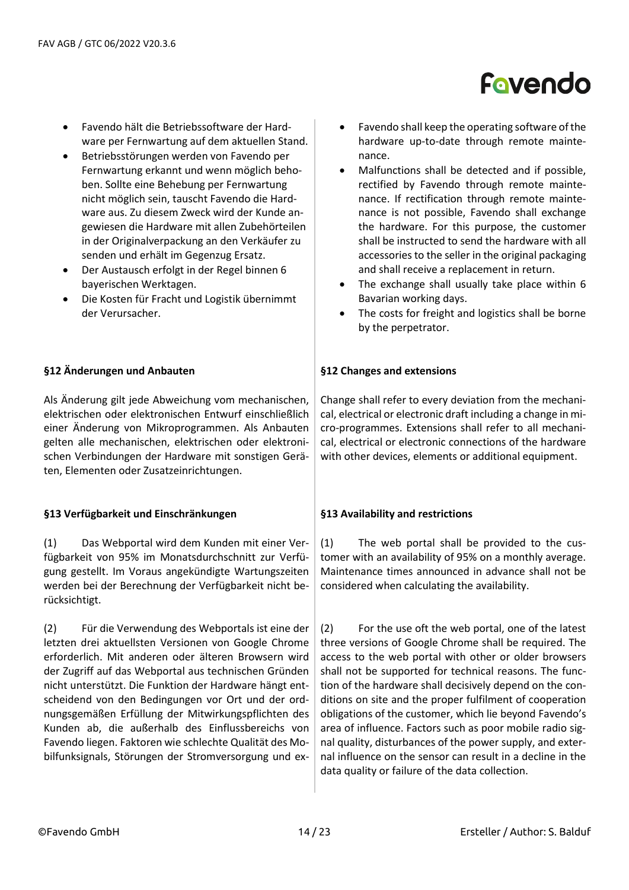

- Favendo hält die Betriebssoftware der Hardware per Fernwartung auf dem aktuellen Stand.
- Betriebsstörungen werden von Favendo per Fernwartung erkannt und wenn möglich behoben. Sollte eine Behebung per Fernwartung nicht möglich sein, tauscht Favendo die Hardware aus. Zu diesem Zweck wird der Kunde angewiesen die Hardware mit allen Zubehörteilen in der Originalverpackung an den Verkäufer zu senden und erhält im Gegenzug Ersatz.
- Der Austausch erfolgt in der Regel binnen 6 bayerischen Werktagen.
- Die Kosten für Fracht und Logistik übernimmt der Verursacher.

### **§12 Änderungen und Anbauten**

Als Änderung gilt jede Abweichung vom mechanischen, elektrischen oder elektronischen Entwurf einschließlich einer Änderung von Mikroprogrammen. Als Anbauten gelten alle mechanischen, elektrischen oder elektronischen Verbindungen der Hardware mit sonstigen Geräten, Elementen oder Zusatzeinrichtungen.

### **§13 Verfügbarkeit und Einschränkungen**

(1) Das Webportal wird dem Kunden mit einer Verfügbarkeit von 95% im Monatsdurchschnitt zur Verfügung gestellt. Im Voraus angekündigte Wartungszeiten werden bei der Berechnung der Verfügbarkeit nicht berücksichtigt.

(2) Für die Verwendung des Webportals ist eine der letzten drei aktuellsten Versionen von Google Chrome erforderlich. Mit anderen oder älteren Browsern wird der Zugriff auf das Webportal aus technischen Gründen nicht unterstützt. Die Funktion der Hardware hängt entscheidend von den Bedingungen vor Ort und der ordnungsgemäßen Erfüllung der Mitwirkungspflichten des Kunden ab, die außerhalb des Einflussbereichs von Favendo liegen. Faktoren wie schlechte Qualität des Mobilfunksignals, Störungen der Stromversorgung und ex-

- Favendo shall keep the operating software of the hardware up-to-date through remote maintenance.
- Malfunctions shall be detected and if possible, rectified by Favendo through remote maintenance. If rectification through remote maintenance is not possible, Favendo shall exchange the hardware. For this purpose, the customer shall be instructed to send the hardware with all accessories to the seller in the original packaging and shall receive a replacement in return.
- The exchange shall usually take place within 6 Bavarian working days.
- The costs for freight and logistics shall be borne by the perpetrator.

### **§12 Changes and extensions**

Change shall refer to every deviation from the mechanical, electrical or electronic draft including a change in micro-programmes. Extensions shall refer to all mechanical, electrical or electronic connections of the hardware with other devices, elements or additional equipment.

### **§13 Availability and restrictions**

(1) The web portal shall be provided to the customer with an availability of 95% on a monthly average. Maintenance times announced in advance shall not be considered when calculating the availability.

(2) For the use oft the web portal, one of the latest three versions of Google Chrome shall be required. The access to the web portal with other or older browsers shall not be supported for technical reasons. The function of the hardware shall decisively depend on the conditions on site and the proper fulfilment of cooperation obligations of the customer, which lie beyond Favendo's area of influence. Factors such as poor mobile radio signal quality, disturbances of the power supply, and external influence on the sensor can result in a decline in the data quality or failure of the data collection.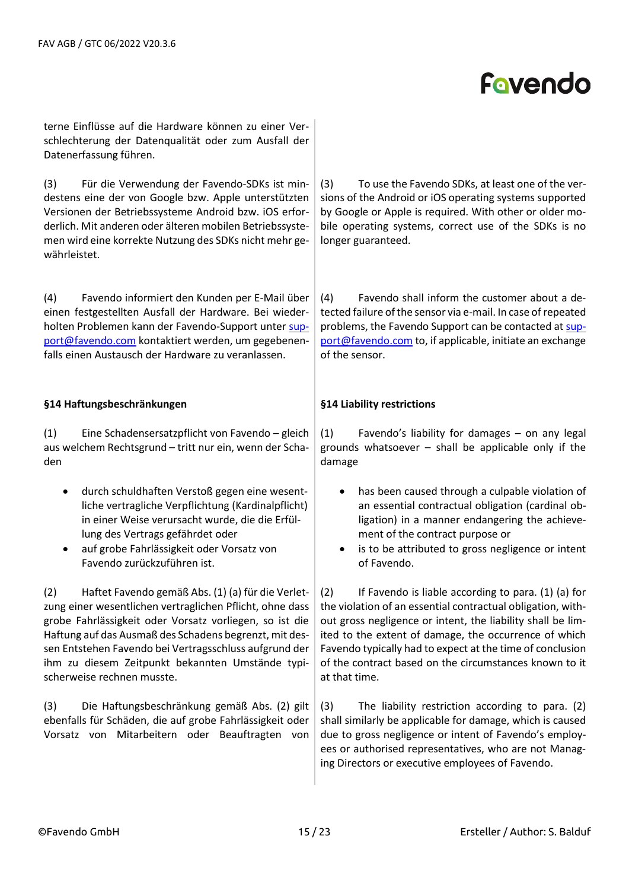terne Einflüsse auf die Hardware können zu einer Verschlechterung der Datenqualität oder zum Ausfall der Datenerfassung führen.

(3) Für die Verwendung der Favendo-SDKs ist mindestens eine der von Google bzw. Apple unterstützten Versionen der Betriebssysteme Android bzw. iOS erforderlich. Mit anderen oder älteren mobilen Betriebssystemen wird eine korrekte Nutzung des SDKs nicht mehr gewährleistet.

(4) Favendo informiert den Kunden per E-Mail über einen festgestellten Ausfall der Hardware. Bei wiederholten Problemen kann der Favendo-Support unter [sup](mailto:support@favendo.com)[port@favendo.com](mailto:support@favendo.com) kontaktiert werden, um gegebenenfalls einen Austausch der Hardware zu veranlassen.

### **§14 Haftungsbeschränkungen**

(1) Eine Schadensersatzpflicht von Favendo – gleich aus welchem Rechtsgrund – tritt nur ein, wenn der Schaden

- durch schuldhaften Verstoß gegen eine wesentliche vertragliche Verpflichtung (Kardinalpflicht) in einer Weise verursacht wurde, die die Erfüllung des Vertrags gefährdet oder
- auf grobe Fahrlässigkeit oder Vorsatz von Favendo zurückzuführen ist.

(2) Haftet Favendo gemäß Abs. (1) (a) für die Verletzung einer wesentlichen vertraglichen Pflicht, ohne dass grobe Fahrlässigkeit oder Vorsatz vorliegen, so ist die Haftung auf das Ausmaß des Schadens begrenzt, mit dessen Entstehen Favendo bei Vertragsschluss aufgrund der ihm zu diesem Zeitpunkt bekannten Umstände typischerweise rechnen musste.

(3) Die Haftungsbeschränkung gemäß Abs. (2) gilt ebenfalls für Schäden, die auf grobe Fahrlässigkeit oder Vorsatz von Mitarbeitern oder Beauftragten von (3) To use the Favendo SDKs, at least one of the versions of the Android or iOS operating systems supported by Google or Apple is required. With other or older mobile operating systems, correct use of the SDKs is no longer guaranteed.

(4) Favendo shall inform the customer about a detected failure of the sensor via e-mail. In case of repeated problems, the Favendo Support can be contacted a[t sup](mailto:support@favendo.com)[port@favendo.com](mailto:support@favendo.com) to, if applicable, initiate an exchange of the sensor.

### **§14 Liability restrictions**

(1) Favendo's liability for damages – on any legal grounds whatsoever – shall be applicable only if the damage

- has been caused through a culpable violation of an essential contractual obligation (cardinal obligation) in a manner endangering the achievement of the contract purpose or
- is to be attributed to gross negligence or intent of Favendo.

(2) If Favendo is liable according to para. (1) (a) for the violation of an essential contractual obligation, without gross negligence or intent, the liability shall be limited to the extent of damage, the occurrence of which Favendo typically had to expect at the time of conclusion of the contract based on the circumstances known to it at that time.

(3) The liability restriction according to para. (2) shall similarly be applicable for damage, which is caused due to gross negligence or intent of Favendo's employees or authorised representatives, who are not Managing Directors or executive employees of Favendo.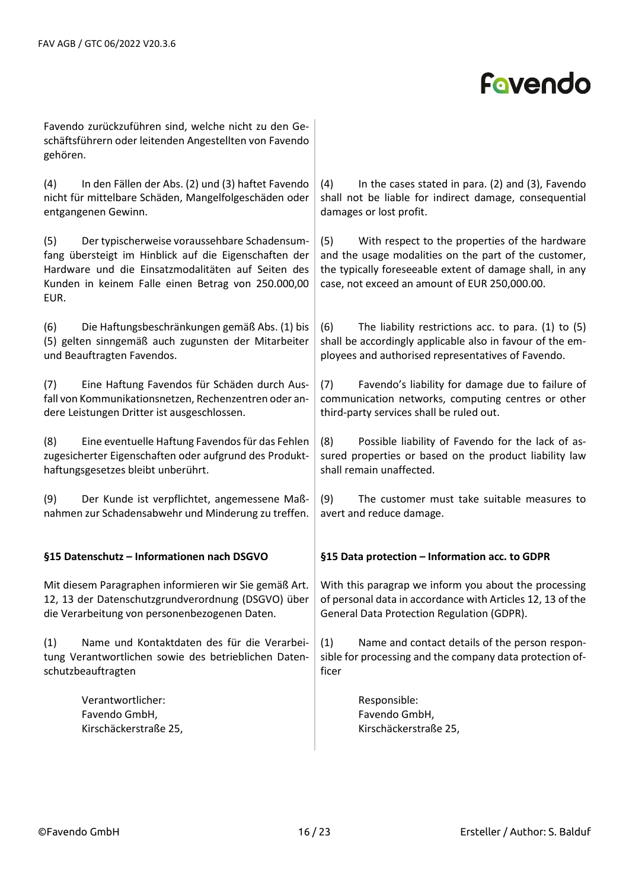Favendo zurückzuführen sind, welche nicht zu den Geschäftsführern oder leitenden Angestellten von Favendo gehören.

(4) In den Fällen der Abs. (2) und (3) haftet Favendo nicht für mittelbare Schäden, Mangelfolgeschäden oder entgangenen Gewinn.

(5) Der typischerweise voraussehbare Schadensumfang übersteigt im Hinblick auf die Eigenschaften der Hardware und die Einsatzmodalitäten auf Seiten des Kunden in keinem Falle einen Betrag von 250.000,00 EUR.

(6) Die Haftungsbeschränkungen gemäß Abs. (1) bis (5) gelten sinngemäß auch zugunsten der Mitarbeiter und Beauftragten Favendos.

(7) Eine Haftung Favendos für Schäden durch Ausfall von Kommunikationsnetzen, Rechenzentren oder andere Leistungen Dritter ist ausgeschlossen.

(8) Eine eventuelle Haftung Favendosfür das Fehlen zugesicherter Eigenschaften oder aufgrund des Produkthaftungsgesetzes bleibt unberührt.

(9) Der Kunde ist verpflichtet, angemessene Maßnahmen zur Schadensabwehr und Minderung zu treffen.

### **§15 Datenschutz – Informationen nach DSGVO**

Mit diesem Paragraphen informieren wir Sie gemäß Art. 12, 13 der Datenschutzgrundverordnung (DSGVO) über die Verarbeitung von personenbezogenen Daten.

(1) Name und Kontaktdaten des für die Verarbeitung Verantwortlichen sowie des betrieblichen Datenschutzbeauftragten

> Verantwortlicher: Favendo GmbH, Kirschäckerstraße 25,

(4) In the cases stated in para. (2) and (3), Favendo shall not be liable for indirect damage, consequential damages or lost profit.

(5) With respect to the properties of the hardware and the usage modalities on the part of the customer, the typically foreseeable extent of damage shall, in any case, not exceed an amount of EUR 250,000.00.

(6) The liability restrictions acc. to para. (1) to (5) shall be accordingly applicable also in favour of the employees and authorised representatives of Favendo.

(7) Favendo's liability for damage due to failure of communication networks, computing centres or other third-party services shall be ruled out.

(8) Possible liability of Favendo for the lack of assured properties or based on the product liability law shall remain unaffected.

(9) The customer must take suitable measures to avert and reduce damage.

### **§15 Data protection – Information acc. to GDPR**

With this paragrap we inform you about the processing of personal data in accordance with Articles 12, 13 of the General Data Protection Regulation (GDPR).

(1) Name and contact details of the person responsible for processing and the company data protection officer

> Responsible: Favendo GmbH, Kirschäckerstraße 25,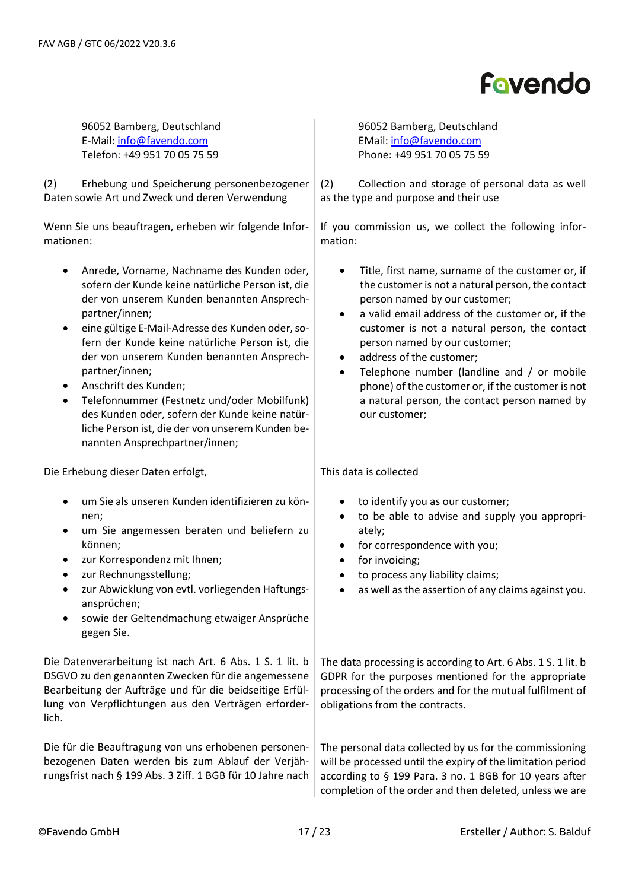96052 Bamberg, Deutschland E-Mail: [info@favendo.com](mailto:info@favendo.com) Telefon: +49 951 70 05 75 59

(2) Erhebung und Speicherung personenbezogener Daten sowie Art und Zweck und deren Verwendung

Wenn Sie uns beauftragen, erheben wir folgende Informationen:

- Anrede, Vorname, Nachname des Kunden oder, sofern der Kunde keine natürliche Person ist, die der von unserem Kunden benannten Ansprechpartner/innen;
- eine gültige E-Mail-Adresse des Kunden oder, sofern der Kunde keine natürliche Person ist, die der von unserem Kunden benannten Ansprechpartner/innen;
- Anschrift des Kunden;
- Telefonnummer (Festnetz und/oder Mobilfunk) des Kunden oder, sofern der Kunde keine natürliche Person ist, die der von unserem Kunden benannten Ansprechpartner/innen;

Die Erhebung dieser Daten erfolgt,

- um Sie als unseren Kunden identifizieren zu können;
- um Sie angemessen beraten und beliefern zu können;
- zur Korrespondenz mit Ihnen;
- zur Rechnungsstellung;
- zur Abwicklung von evtl. vorliegenden Haftungsansprüchen;
- sowie der Geltendmachung etwaiger Ansprüche gegen Sie.

Die Datenverarbeitung ist nach Art. 6 Abs. 1 S. 1 lit. b DSGVO zu den genannten Zwecken für die angemessene Bearbeitung der Aufträge und für die beidseitige Erfüllung von Verpflichtungen aus den Verträgen erforderlich.

Die für die Beauftragung von uns erhobenen personenbezogenen Daten werden bis zum Ablauf der Verjährungsfrist nach § 199 Abs. 3 Ziff. 1 BGB für 10 Jahre nach 96052 Bamberg, Deutschland EMail: [info@favendo.com](mailto:info@favendo.com) Phone: +49 951 70 05 75 59

(2) Collection and storage of personal data as well as the type and purpose and their use

If you commission us, we collect the following information:

- Title, first name, surname of the customer or, if the customer is not a natural person, the contact person named by our customer;
- a valid email address of the customer or, if the customer is not a natural person, the contact person named by our customer;
- address of the customer:
- Telephone number (landline and / or mobile phone) of the customer or, if the customer is not a natural person, the contact person named by our customer;

This data is collected

- to identify you as our customer;
- to be able to advise and supply you appropriately;
- for correspondence with you;
- for invoicing;
- to process any liability claims:
- as well as the assertion of any claims against you.

The data processing is according to Art. 6 Abs. 1 S. 1 lit. b GDPR for the purposes mentioned for the appropriate processing of the orders and for the mutual fulfilment of obligations from the contracts.

The personal data collected by us for the commissioning will be processed until the expiry of the limitation period according to § 199 Para. 3 no. 1 BGB for 10 years after completion of the order and then deleted, unless we are

# Fovendo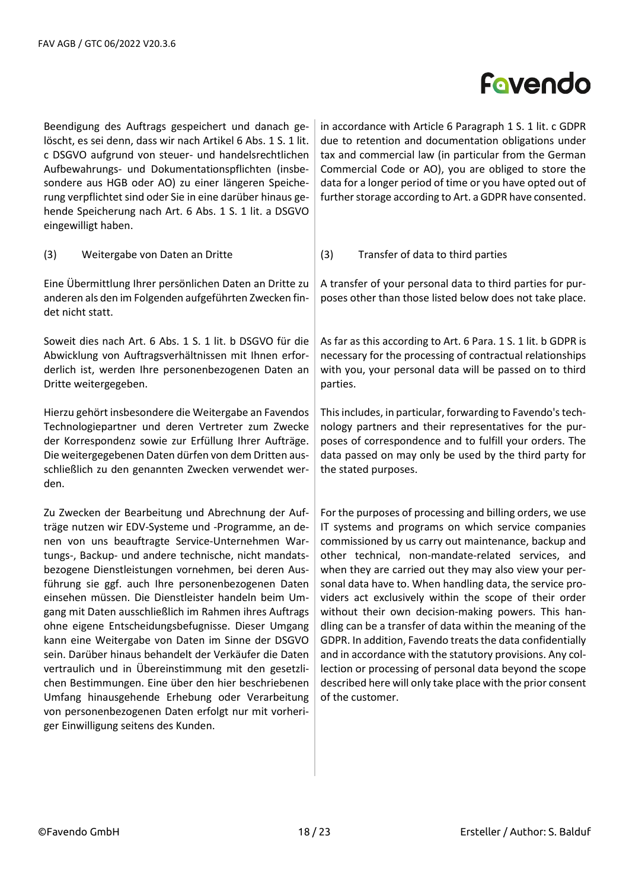Beendigung des Auftrags gespeichert und danach gelöscht, es sei denn, dass wir nach Artikel 6 Abs. 1 S. 1 lit. c DSGVO aufgrund von steuer- und handelsrechtlichen Aufbewahrungs- und Dokumentationspflichten (insbesondere aus HGB oder AO) zu einer längeren Speicherung verpflichtet sind oder Sie in eine darüber hinaus gehende Speicherung nach Art. 6 Abs. 1 S. 1 lit. a DSGVO eingewilligt haben.

in accordance with Article 6 Paragraph 1 S. 1 lit. c GDPR due to retention and documentation obligations under tax and commercial law (in particular from the German Commercial Code or AO), you are obliged to store the data for a longer period of time or you have opted out of further storage according to Art. a GDPR have consented.

(3) Weitergabe von Daten an Dritte

Eine Übermittlung Ihrer persönlichen Daten an Dritte zu anderen als den im Folgenden aufgeführten Zwecken findet nicht statt.

Soweit dies nach Art. 6 Abs. 1 S. 1 lit. b DSGVO für die Abwicklung von Auftragsverhältnissen mit Ihnen erforderlich ist, werden Ihre personenbezogenen Daten an Dritte weitergegeben.

Hierzu gehört insbesondere die Weitergabe an Favendos Technologiepartner und deren Vertreter zum Zwecke der Korrespondenz sowie zur Erfüllung Ihrer Aufträge. Die weitergegebenen Daten dürfen von dem Dritten ausschließlich zu den genannten Zwecken verwendet werden.

Zu Zwecken der Bearbeitung und Abrechnung der Aufträge nutzen wir EDV-Systeme und -Programme, an denen von uns beauftragte Service-Unternehmen Wartungs-, Backup- und andere technische, nicht mandatsbezogene Dienstleistungen vornehmen, bei deren Ausführung sie ggf. auch Ihre personenbezogenen Daten einsehen müssen. Die Dienstleister handeln beim Umgang mit Daten ausschließlich im Rahmen ihres Auftrags ohne eigene Entscheidungsbefugnisse. Dieser Umgang kann eine Weitergabe von Daten im Sinne der DSGVO sein. Darüber hinaus behandelt der Verkäufer die Daten vertraulich und in Übereinstimmung mit den gesetzlichen Bestimmungen. Eine über den hier beschriebenen Umfang hinausgehende Erhebung oder Verarbeitung von personenbezogenen Daten erfolgt nur mit vorheriger Einwilligung seitens des Kunden.

(3) Transfer of data to third parties

A transfer of your personal data to third parties for purposes other than those listed below does not take place.

As far as this according to Art. 6 Para. 1 S. 1 lit. b GDPR is necessary for the processing of contractual relationships with you, your personal data will be passed on to third parties.

This includes, in particular, forwarding to Favendo's technology partners and their representatives for the purposes of correspondence and to fulfill your orders. The data passed on may only be used by the third party for the stated purposes.

For the purposes of processing and billing orders, we use IT systems and programs on which service companies commissioned by us carry out maintenance, backup and other technical, non-mandate-related services, and when they are carried out they may also view your personal data have to. When handling data, the service providers act exclusively within the scope of their order without their own decision-making powers. This handling can be a transfer of data within the meaning of the GDPR. In addition, Favendo treats the data confidentially and in accordance with the statutory provisions. Any collection or processing of personal data beyond the scope described here will only take place with the prior consent of the customer.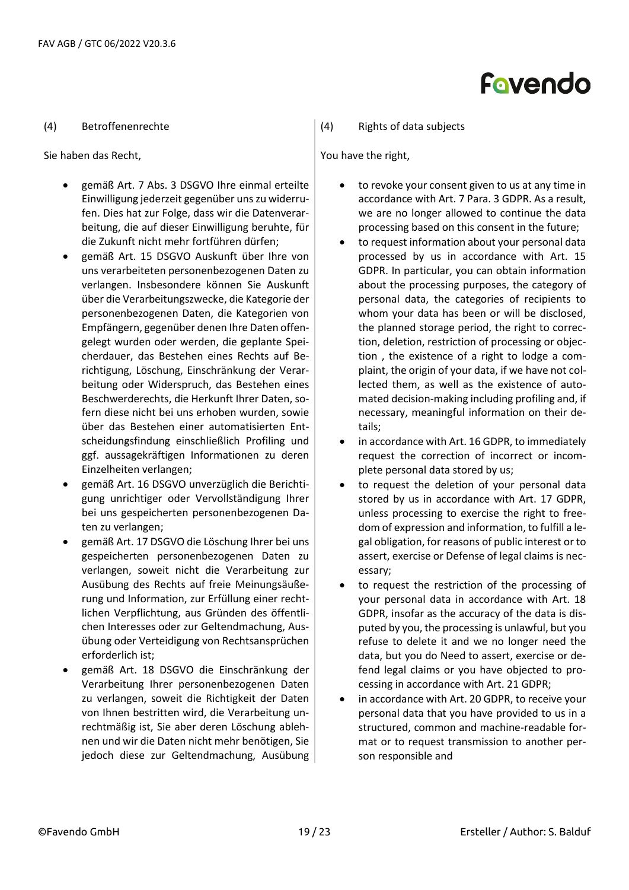#### (4) Betroffenenrechte

Sie haben das Recht,

- gemäß Art. 7 Abs. 3 DSGVO Ihre einmal erteilte Einwilligung jederzeit gegenüber uns zu widerrufen. Dies hat zur Folge, dass wir die Datenverarbeitung, die auf dieser Einwilligung beruhte, für die Zukunft nicht mehr fortführen dürfen;
- gemäß Art. 15 DSGVO Auskunft über Ihre von uns verarbeiteten personenbezogenen Daten zu verlangen. Insbesondere können Sie Auskunft über die Verarbeitungszwecke, die Kategorie der personenbezogenen Daten, die Kategorien von Empfängern, gegenüber denen Ihre Daten offengelegt wurden oder werden, die geplante Speicherdauer, das Bestehen eines Rechts auf Berichtigung, Löschung, Einschränkung der Verarbeitung oder Widerspruch, das Bestehen eines Beschwerderechts, die Herkunft Ihrer Daten, sofern diese nicht bei uns erhoben wurden, sowie über das Bestehen einer automatisierten Entscheidungsfindung einschließlich Profiling und ggf. aussagekräftigen Informationen zu deren Einzelheiten verlangen;
- gemäß Art. 16 DSGVO unverzüglich die Berichtigung unrichtiger oder Vervollständigung Ihrer bei uns gespeicherten personenbezogenen Daten zu verlangen;
- gemäß Art. 17 DSGVO die Löschung Ihrer bei uns gespeicherten personenbezogenen Daten zu verlangen, soweit nicht die Verarbeitung zur Ausübung des Rechts auf freie Meinungsäußerung und Information, zur Erfüllung einer rechtlichen Verpflichtung, aus Gründen des öffentlichen Interesses oder zur Geltendmachung, Ausübung oder Verteidigung von Rechtsansprüchen erforderlich ist;
- gemäß Art. 18 DSGVO die Einschränkung der Verarbeitung Ihrer personenbezogenen Daten zu verlangen, soweit die Richtigkeit der Daten von Ihnen bestritten wird, die Verarbeitung unrechtmäßig ist, Sie aber deren Löschung ablehnen und wir die Daten nicht mehr benötigen, Sie jedoch diese zur Geltendmachung, Ausübung

(4) Rights of data subjects

You have the right,

- to revoke your consent given to us at any time in accordance with Art. 7 Para. 3 GDPR. As a result, we are no longer allowed to continue the data processing based on this consent in the future;
- to request information about your personal data processed by us in accordance with Art. 15 GDPR. In particular, you can obtain information about the processing purposes, the category of personal data, the categories of recipients to whom your data has been or will be disclosed, the planned storage period, the right to correction, deletion, restriction of processing or objection , the existence of a right to lodge a complaint, the origin of your data, if we have not collected them, as well as the existence of automated decision-making including profiling and, if necessary, meaningful information on their details;
- in accordance with Art. 16 GDPR, to immediately request the correction of incorrect or incomplete personal data stored by us;
- to request the deletion of your personal data stored by us in accordance with Art. 17 GDPR, unless processing to exercise the right to freedom of expression and information, to fulfill a legal obligation, for reasons of public interest or to assert, exercise or Defense of legal claims is necessary;
- to request the restriction of the processing of your personal data in accordance with Art. 18 GDPR, insofar as the accuracy of the data is disputed by you, the processing is unlawful, but you refuse to delete it and we no longer need the data, but you do Need to assert, exercise or defend legal claims or you have objected to processing in accordance with Art. 21 GDPR;
- in accordance with Art. 20 GDPR, to receive your personal data that you have provided to us in a structured, common and machine-readable format or to request transmission to another person responsible and

# Fovendo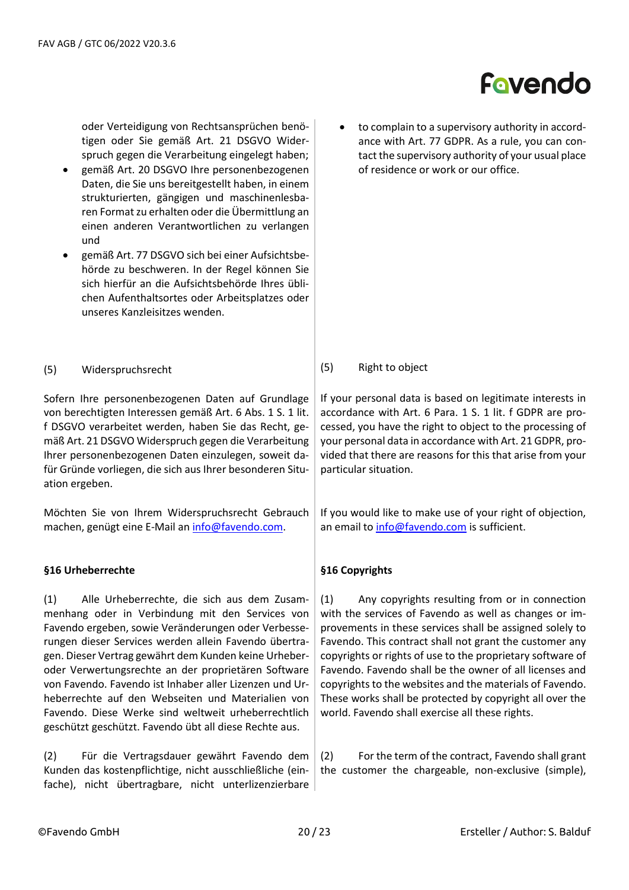oder Verteidigung von Rechtsansprüchen benötigen oder Sie gemäß Art. 21 DSGVO Widerspruch gegen die Verarbeitung eingelegt haben;

- gemäß Art. 20 DSGVO Ihre personenbezogenen Daten, die Sie uns bereitgestellt haben, in einem strukturierten, gängigen und maschinenlesbaren Format zu erhalten oder die Übermittlung an einen anderen Verantwortlichen zu verlangen und
- gemäß Art. 77 DSGVO sich bei einer Aufsichtsbehörde zu beschweren. In der Regel können Sie sich hierfür an die Aufsichtsbehörde Ihres üblichen Aufenthaltsortes oder Arbeitsplatzes oder unseres Kanzleisitzes wenden.
- (5) Widerspruchsrecht

Sofern Ihre personenbezogenen Daten auf Grundlage von berechtigten Interessen gemäß Art. 6 Abs. 1 S. 1 lit. f DSGVO verarbeitet werden, haben Sie das Recht, gemäß Art. 21 DSGVO Widerspruch gegen die Verarbeitung Ihrer personenbezogenen Daten einzulegen, soweit dafür Gründe vorliegen, die sich aus Ihrer besonderen Situation ergeben.

Möchten Sie von Ihrem Widerspruchsrecht Gebrauch machen, genügt eine E-Mail an [info@favendo.com.](mailto:info@favendo.com)

#### **§16 Urheberrechte**

(1) Alle Urheberrechte, die sich aus dem Zusammenhang oder in Verbindung mit den Services von Favendo ergeben, sowie Veränderungen oder Verbesserungen dieser Services werden allein Favendo übertragen. Dieser Vertrag gewährt dem Kunden keine Urheberoder Verwertungsrechte an der proprietären Software von Favendo. Favendo ist Inhaber aller Lizenzen und Urheberrechte auf den Webseiten und Materialien von Favendo. Diese Werke sind weltweit urheberrechtlich geschützt geschützt. Favendo übt all diese Rechte aus.

(2) Für die Vertragsdauer gewährt Favendo dem Kunden das kostenpflichtige, nicht ausschließliche (einfache), nicht übertragbare, nicht unterlizenzierbare to complain to a supervisory authority in accordance with Art. 77 GDPR. As a rule, you can contact the supervisory authority of your usual place of residence or work or our office.

### (5) Right to object

If your personal data is based on legitimate interests in accordance with Art. 6 Para. 1 S. 1 lit. f GDPR are processed, you have the right to object to the processing of your personal data in accordance with Art. 21 GDPR, provided that there are reasons for this that arise from your particular situation.

If you would like to make use of your right of objection, an email to [info@favendo.com](mailto:info@favendo.com) is sufficient.

### **§16 Copyrights**

(1) Any copyrights resulting from or in connection with the services of Favendo as well as changes or improvements in these services shall be assigned solely to Favendo. This contract shall not grant the customer any copyrights or rights of use to the proprietary software of Favendo. Favendo shall be the owner of all licenses and copyrights to the websites and the materials of Favendo. These works shall be protected by copyright all over the world. Favendo shall exercise all these rights.

(2) For the term of the contract, Favendo shall grant the customer the chargeable, non-exclusive (simple),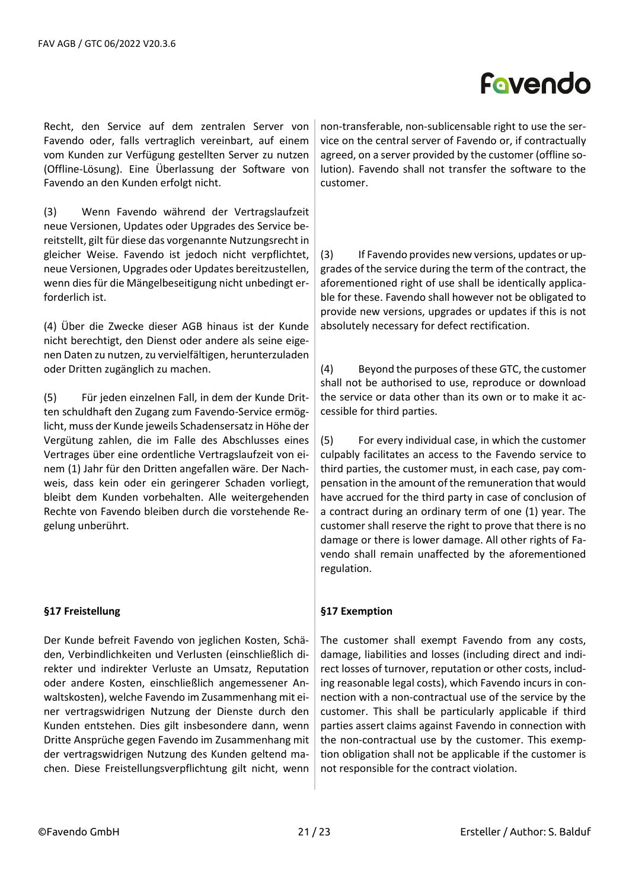Recht, den Service auf dem zentralen Server von Favendo oder, falls vertraglich vereinbart, auf einem vom Kunden zur Verfügung gestellten Server zu nutzen (Offline-Lösung). Eine Überlassung der Software von Favendo an den Kunden erfolgt nicht.

(3) Wenn Favendo während der Vertragslaufzeit neue Versionen, Updates oder Upgrades des Service bereitstellt, gilt für diese das vorgenannte Nutzungsrecht in gleicher Weise. Favendo ist jedoch nicht verpflichtet, neue Versionen, Upgrades oder Updates bereitzustellen, wenn dies für die Mängelbeseitigung nicht unbedingt erforderlich ist.

(4) Über die Zwecke dieser AGB hinaus ist der Kunde nicht berechtigt, den Dienst oder andere als seine eigenen Daten zu nutzen, zu vervielfältigen, herunterzuladen oder Dritten zugänglich zu machen.

(5) Für jeden einzelnen Fall, in dem der Kunde Dritten schuldhaft den Zugang zum Favendo-Service ermöglicht, muss der Kunde jeweils Schadensersatz in Höhe der Vergütung zahlen, die im Falle des Abschlusses eines Vertrages über eine ordentliche Vertragslaufzeit von einem (1) Jahr für den Dritten angefallen wäre. Der Nachweis, dass kein oder ein geringerer Schaden vorliegt, bleibt dem Kunden vorbehalten. Alle weitergehenden Rechte von Favendo bleiben durch die vorstehende Regelung unberührt.

### **§17 Freistellung**

Der Kunde befreit Favendo von jeglichen Kosten, Schäden, Verbindlichkeiten und Verlusten (einschließlich direkter und indirekter Verluste an Umsatz, Reputation oder andere Kosten, einschließlich angemessener Anwaltskosten), welche Favendo im Zusammenhang mit einer vertragswidrigen Nutzung der Dienste durch den Kunden entstehen. Dies gilt insbesondere dann, wenn Dritte Ansprüche gegen Favendo im Zusammenhang mit der vertragswidrigen Nutzung des Kunden geltend machen. Diese Freistellungsverpflichtung gilt nicht, wenn

non-transferable, non-sublicensable right to use the service on the central server of Favendo or, if contractually agreed, on a server provided by the customer (offline solution). Favendo shall not transfer the software to the customer.

(3) If Favendo provides new versions, updates or upgrades of the service during the term of the contract, the aforementioned right of use shall be identically applicable for these. Favendo shall however not be obligated to provide new versions, upgrades or updates if this is not absolutely necessary for defect rectification.

(4) Beyond the purposes of these GTC, the customer shall not be authorised to use, reproduce or download the service or data other than its own or to make it accessible for third parties.

(5) For every individual case, in which the customer culpably facilitates an access to the Favendo service to third parties, the customer must, in each case, pay compensation in the amount of the remuneration that would have accrued for the third party in case of conclusion of a contract during an ordinary term of one (1) year. The customer shall reserve the right to prove that there is no damage or there is lower damage. All other rights of Favendo shall remain unaffected by the aforementioned regulation.

### **§17 Exemption**

The customer shall exempt Favendo from any costs, damage, liabilities and losses (including direct and indirect losses of turnover, reputation or other costs, including reasonable legal costs), which Favendo incurs in connection with a non-contractual use of the service by the customer. This shall be particularly applicable if third parties assert claims against Favendo in connection with the non-contractual use by the customer. This exemption obligation shall not be applicable if the customer is not responsible for the contract violation.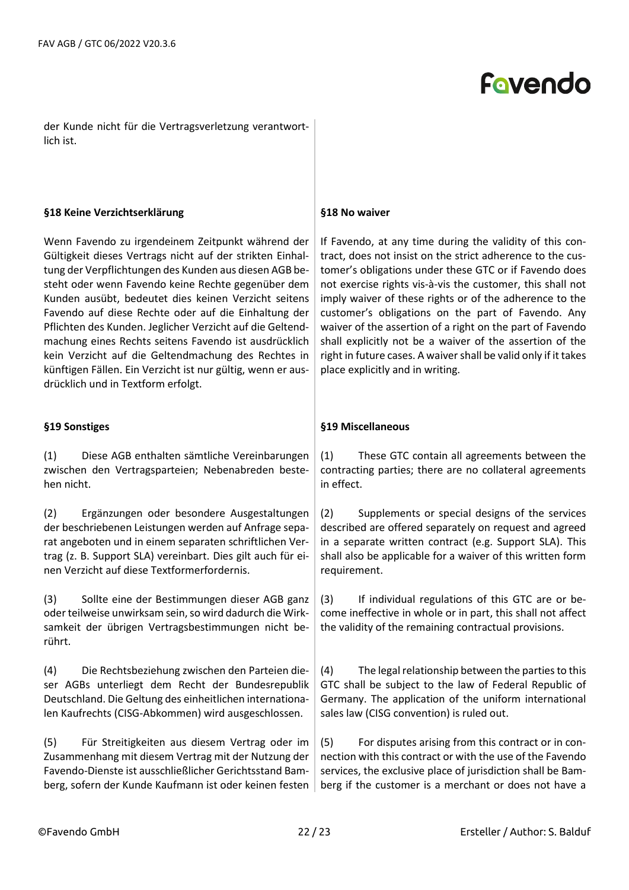der Kunde nicht für die Vertragsverletzung verantwortlich ist.

#### **§18 Keine Verzichtserklärung**

Wenn Favendo zu irgendeinem Zeitpunkt während der Gültigkeit dieses Vertrags nicht auf der strikten Einhaltung der Verpflichtungen des Kunden aus diesen AGB besteht oder wenn Favendo keine Rechte gegenüber dem Kunden ausübt, bedeutet dies keinen Verzicht seitens Favendo auf diese Rechte oder auf die Einhaltung der Pflichten des Kunden. Jeglicher Verzicht auf die Geltendmachung eines Rechts seitens Favendo ist ausdrücklich kein Verzicht auf die Geltendmachung des Rechtes in künftigen Fällen. Ein Verzicht ist nur gültig, wenn er ausdrücklich und in Textform erfolgt.

### **§19 Sonstiges**

(1) Diese AGB enthalten sämtliche Vereinbarungen zwischen den Vertragsparteien; Nebenabreden bestehen nicht.

(2) Ergänzungen oder besondere Ausgestaltungen der beschriebenen Leistungen werden auf Anfrage separat angeboten und in einem separaten schriftlichen Vertrag (z. B. Support SLA) vereinbart. Dies gilt auch für einen Verzicht auf diese Textformerfordernis.

(3) Sollte eine der Bestimmungen dieser AGB ganz oder teilweise unwirksam sein, so wird dadurch die Wirksamkeit der übrigen Vertragsbestimmungen nicht berührt.

(4) Die Rechtsbeziehung zwischen den Parteien dieser AGBs unterliegt dem Recht der Bundesrepublik Deutschland. Die Geltung des einheitlichen internationalen Kaufrechts (CISG-Abkommen) wird ausgeschlossen.

(5) Für Streitigkeiten aus diesem Vertrag oder im Zusammenhang mit diesem Vertrag mit der Nutzung der Favendo-Dienste ist ausschließlicher Gerichtsstand Bamberg, sofern der Kunde Kaufmann ist oder keinen festen

#### **§18 No waiver**

If Favendo, at any time during the validity of this contract, does not insist on the strict adherence to the customer's obligations under these GTC or if Favendo does not exercise rights vis-à-vis the customer, this shall not imply waiver of these rights or of the adherence to the customer's obligations on the part of Favendo. Any waiver of the assertion of a right on the part of Favendo shall explicitly not be a waiver of the assertion of the right in future cases. A waiver shall be valid only if it takes place explicitly and in writing.

### **§19 Miscellaneous**

(1) These GTC contain all agreements between the contracting parties; there are no collateral agreements in effect.

(2) Supplements or special designs of the services described are offered separately on request and agreed in a separate written contract (e.g. Support SLA). This shall also be applicable for a waiver of this written form requirement.

(3) If individual regulations of this GTC are or become ineffective in whole or in part, this shall not affect the validity of the remaining contractual provisions.

(4) The legal relationship between the parties to this GTC shall be subject to the law of Federal Republic of Germany. The application of the uniform international sales law (CISG convention) is ruled out.

(5) For disputes arising from this contract or in connection with this contract or with the use of the Favendo services, the exclusive place of jurisdiction shall be Bamberg if the customer is a merchant or does not have a